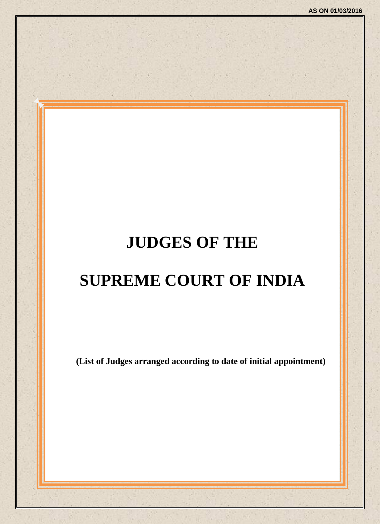# **JUDGES OF THE**

# **SUPREME COURT OF INDIA**

**(List of Judges arranged according to date of initial appointment)**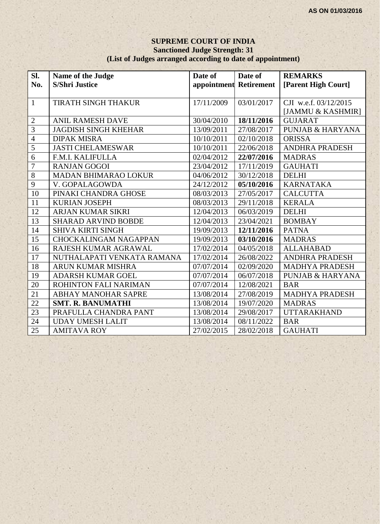#### **SUPREME COURT OF INDIA Sanctioned Judge Strength: 31 (List of Judges arranged according to date of appointment)**

| Sl.            | Name of the Judge            | Date of                | Date of    | <b>REMARKS</b>              |
|----------------|------------------------------|------------------------|------------|-----------------------------|
| No.            | <b>S/Shri Justice</b>        | appointment Retirement |            | [Parent High Court]         |
|                |                              |                        |            |                             |
| $\mathbf{1}$   | <b>TIRATH SINGH THAKUR</b>   | 17/11/2009             | 03/01/2017 | CJI w.e.f. 03/12/2015       |
|                |                              |                        |            | [JAMMU & KASHMIR]           |
| $\sqrt{2}$     | <b>ANIL RAMESH DAVE</b>      | 30/04/2010             | 18/11/2016 | <b>GUJARAT</b>              |
| $\overline{3}$ | <b>JAGDISH SINGH KHEHAR</b>  | 13/09/2011             | 27/08/2017 | <b>PUNJAB &amp; HARYANA</b> |
| $\overline{4}$ | <b>DIPAK MISRA</b>           | 10/10/2011             | 02/10/2018 | <b>ORISSA</b>               |
| $\overline{5}$ | <b>JASTI CHELAMESWAR</b>     | 10/10/2011             | 22/06/2018 | <b>ANDHRA PRADESH</b>       |
| $\overline{6}$ | F.M.I. KALIFULLA             | 02/04/2012             | 22/07/2016 | <b>MADRAS</b>               |
| $\overline{7}$ | <b>RANJAN GOGOI</b>          | 23/04/2012             | 17/11/2019 | <b>GAUHATI</b>              |
| $\overline{8}$ | <b>MADAN BHIMARAO LOKUR</b>  | 04/06/2012             | 30/12/2018 | <b>DELHI</b>                |
| $\overline{9}$ | V. GOPALAGOWDA               | 24/12/2012             | 05/10/2016 | <b>KARNATAKA</b>            |
| 10             | PINAKI CHANDRA GHOSE         | 08/03/2013             | 27/05/2017 | <b>CALCUTTA</b>             |
| 11             | <b>KURIAN JOSEPH</b>         | 08/03/2013             | 29/11/2018 | <b>KERALA</b>               |
| 12             | ARJAN KUMAR SIKRI            | 12/04/2013             | 06/03/2019 | <b>DELHI</b>                |
| 13             | <b>SHARAD ARVIND BOBDE</b>   | 12/04/2013             | 23/04/2021 | <b>BOMBAY</b>               |
| 14             | <b>SHIVA KIRTI SINGH</b>     | 19/09/2013             | 12/11/2016 | <b>PATNA</b>                |
| 15             | <b>CHOCKALINGAM NAGAPPAN</b> | 19/09/2013             | 03/10/2016 | <b>MADRAS</b>               |
| 16             | RAJESH KUMAR AGRAWAL         | 17/02/2014             | 04/05/2018 | <b>ALLAHABAD</b>            |
| 17             | NUTHALAPATI VENKATA RAMANA   | 17/02/2014             | 26/08/2022 | <b>ANDHRA PRADESH</b>       |
| 18             | <b>ARUN KUMAR MISHRA</b>     | 07/07/2014             | 02/09/2020 | <b>MADHYA PRADESH</b>       |
| 19             | <b>ADARSH KUMAR GOEL</b>     | 07/07/2014             | 06/07/2018 | <b>PUNJAB &amp; HARYANA</b> |
| 20             | ROHINTON FALI NARIMAN        | 07/07/2014             | 12/08/2021 | <b>BAR</b>                  |
| 21             | ABHAY MANOHAR SAPRE          | 13/08/2014             | 27/08/2019 | <b>MADHYA PRADESH</b>       |
| 22             | <b>SMT. R. BANUMATHI</b>     | 13/08/2014             | 19/07/2020 | <b>MADRAS</b>               |
| 23             | PRAFULLA CHANDRA PANT        | 13/08/2014             | 29/08/2017 | <b>UTTARAKHAND</b>          |
| 24             | <b>UDAY UMESH LALIT</b>      | 13/08/2014             | 08/11/2022 | <b>BAR</b>                  |
| 25             | <b>AMITAVA ROY</b>           | 27/02/2015             | 28/02/2018 | <b>GAUHATI</b>              |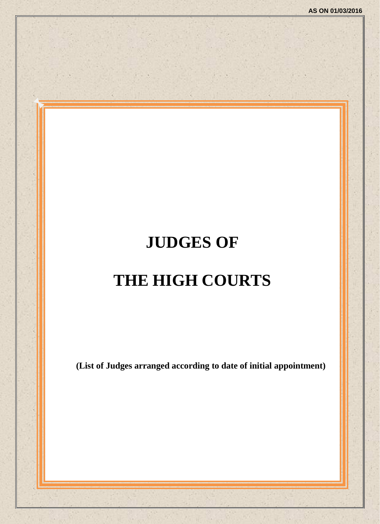# **JUDGES OF THE HIGH COURTS**

**(List of Judges arranged according to date of initial appointment)**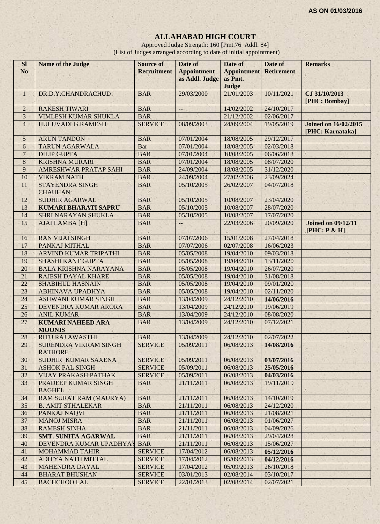# **ALLAHABAD HIGH COURT**

Approved Judge Strength: 160 [Pmt.76 Addl. 84] (List of Judges arranged according to date of initial appointment)

| <b>Sl</b><br>N <sub>o</sub> | Name of the Judge                              | <b>Source of</b><br><b>Recruitment</b> | Date of<br><b>Appointment</b> | Date of<br><b>Appointment</b> | Date of<br><b>Retirement</b> | <b>Remarks</b>                                  |
|-----------------------------|------------------------------------------------|----------------------------------------|-------------------------------|-------------------------------|------------------------------|-------------------------------------------------|
|                             |                                                |                                        | as Addl. Judge                | as Pmt.                       |                              |                                                 |
|                             |                                                |                                        |                               | Judge                         |                              |                                                 |
| $\mathbf{1}$                | DR.D.Y.CHANDRACHUD                             | <b>BAR</b>                             | 29/03/2000                    | 21/01/2003                    | 10/11/2021                   | CJ 31/10/2013                                   |
|                             |                                                |                                        |                               |                               |                              | [PHC: Bombay]                                   |
| $\overline{c}$              | <b>RAKESH TIWARI</b>                           | <b>BAR</b>                             | $\overline{\phantom{a}}$      | 14/02/2002                    | 24/10/2017                   |                                                 |
| 3                           | <b>VIMLESH KUMAR SHUKLA</b>                    | <b>BAR</b>                             |                               | 21/12/2002                    | 02/06/2017                   |                                                 |
| $\overline{4}$              | <b>HULUVADI G.RAMESH</b>                       | <b>SERVICE</b>                         | 08/09/2003                    | 24/09/2004                    | 19/05/2019                   | <b>Joined on 16/02/2015</b><br>[PHC: Karnataka] |
| 5                           | <b>ARUN TANDON</b>                             | <b>BAR</b>                             | 07/01/2004                    | 18/08/2005                    | 29/12/2017                   |                                                 |
| 6                           | <b>TARUN AGARWALA</b>                          | Bar                                    | 07/01/2004                    | 18/08/2005                    | 02/03/2018                   |                                                 |
| $\overline{7}$              | <b>DILIP GUPTA</b>                             | <b>BAR</b>                             | 07/01/2004                    | 18/08/2005                    | 06/06/2018                   |                                                 |
| 8                           | <b>KRISHNA MURARI</b>                          | <b>BAR</b>                             | 07/01/2004                    | 18/08/2005                    | 08/07/2020                   |                                                 |
| 9                           | AMRESHWAR PRATAP SAHI                          | <b>BAR</b>                             | 24/09/2004                    | 18/08/2005                    | 31/12/2020                   |                                                 |
| 10                          | <b>VIKRAM NATH</b>                             | <b>BAR</b>                             | 24/09/2004                    | 27/02/2006                    | 23/09/2024                   |                                                 |
| 11                          | <b>STAYENDRA SINGH</b><br><b>CHAUHAN</b>       | <b>BAR</b>                             | 05/10/2005                    | 26/02/2007                    | 04/07/2018                   |                                                 |
| 12                          | <b>SUDHIR AGARWAL</b>                          | <b>BAR</b>                             | 05/10/2005                    | 10/08/2007                    | 23/04/2020                   |                                                 |
| 13                          | <b>KUMARI BHARATI SAPRU</b>                    | <b>BAR</b>                             | 05/10/2005                    | 10/08/2007                    | 28/07/2020                   |                                                 |
| 14                          | SHRI NARAYAN SHUKLA                            | <b>BAR</b>                             | 05/10/2005                    | 10/08/2007                    | 17/07/2020                   |                                                 |
| 15                          | <b>AJAI LAMBA [H]</b>                          | <b>BAR</b>                             | $\frac{1}{2}$                 | 22/03/2006                    | 20/09/2020                   | <b>Joined on 09/12/11</b><br>[PHC: P & H]       |
| 16                          | <b>RAN VIJAI SINGH</b>                         | <b>BAR</b>                             | 07/07/2006                    | 15/01/2008                    | 27/04/2018                   |                                                 |
| 17                          | PANKAJ MITHAL                                  | <b>BAR</b>                             | 07/07/2006                    | 02/07/2008                    | 16/06/2023                   |                                                 |
| 18                          | ARVIND KUMAR TRIPATHI                          | <b>BAR</b>                             | 05/05/2008                    | 19/04/2010                    | 09/03/2018                   |                                                 |
| 19                          | <b>SHASHI KANT GUPTA</b>                       | <b>BAR</b>                             | 05/05/2008                    | 19/04/2010                    | 13/11/2020                   |                                                 |
| 20                          | <b>BALA KRISHNA NARAYANA</b>                   | <b>BAR</b>                             | 05/05/2008                    | 19/04/2010                    | 26/07/2020                   |                                                 |
| 21                          | <b>RAJESH DAYAL KHARE</b>                      | <b>BAR</b>                             | 05/05/2008                    | 19/04/2010                    | 31/08/2018                   |                                                 |
| 22                          | <b>SHABIHUL HASNAIN</b>                        | <b>BAR</b>                             | 05/05/2008                    | 19/04/2010                    | 09/01/2020                   |                                                 |
| 23                          | <b>ABHINAVA UPADHYA</b>                        | <b>BAR</b>                             | 05/05/2008                    | 19/04/2010                    | 02/11/2020                   |                                                 |
| 24                          | <b>ASHWANI KUMAR SINGH</b>                     | <b>BAR</b>                             | 13/04/2009                    | 24/12/2010                    | 14/06/2016                   |                                                 |
| 25                          | DEVENDRA KUMAR ARORA                           | <b>BAR</b>                             | 13/04/2009                    | 24/12/2010                    | 19/06/2019                   |                                                 |
| 26                          | <b>ANIL KUMAR</b>                              | <b>BAR</b>                             | 13/04/2009                    | 24/12/2010                    | 08/08/2020                   |                                                 |
| 27                          | <b>KUMARI NAHEED ARA</b>                       | <b>BAR</b>                             | 13/04/2009                    | 24/12/2010                    | 07/12/2021                   |                                                 |
|                             | <b>MOONIS</b>                                  |                                        |                               |                               |                              |                                                 |
| 28                          | <b>RITU RAJ AWASTHI</b>                        | <b>BAR</b>                             | 13/04/2009                    | 24/12/2010                    | 02/07/2022                   |                                                 |
| 29                          | <b>SURENDRA VIKRAM SINGH</b><br><b>RATHORE</b> | <b>SERVICE</b>                         | 05/09/2011                    | 06/08/2013                    | 14/08/2016                   |                                                 |
| 30                          | SUDHIR KUMAR SAXENA                            | <b>SERVICE</b>                         | 05/09/2011                    | 06/08/2013                    | 03/07/2016                   |                                                 |
| 31                          | <b>ASHOK PAL SINGH</b>                         | <b>SERVICE</b>                         | 05/09/2011                    | 06/08/2013                    | 25/05/2016                   |                                                 |
| 32                          | <b>VIJAY PRAKASH PATHAK</b>                    | <b>SERVICE</b>                         | 05/09/2011                    | 06/08/2013                    | 04/03/2016                   |                                                 |
| 33                          | <b>PRADEEP KUMAR SINGH</b><br><b>BAGHEL</b>    | <b>BAR</b>                             | 21/11/2011                    | 06/08/2013                    | 19/11/2019                   |                                                 |
| 34                          | <b>RAM SURAT RAM (MAURYA)</b>                  | <b>BAR</b>                             | 21/11/2011                    | 06/08/2013                    | 14/10/2019                   |                                                 |
| 35                          | <b>B. AMIT STHALEKAR</b>                       | <b>BAR</b>                             | 21/11/2011                    | 06/08/2013                    | 24/12/2020                   |                                                 |
| 36                          | PANKAJ NAQVI                                   | <b>BAR</b>                             | 21/11/2011                    | 06/08/2013                    | 21/08/2021                   |                                                 |
| 37                          | <b>MANOJ MISRA</b>                             | <b>BAR</b>                             | 21/11/2011                    | 06/08/2013                    | 01/06/2027                   |                                                 |
| 38                          | <b>RAMESH SINHA</b>                            | <b>BAR</b>                             | 21/11/2011                    | 06/08/2013                    | 04/09/2026                   |                                                 |
| 39                          | <b>SMT. SUNITA AGARWAL</b>                     | <b>BAR</b>                             | 21/11/2011                    | 06/08/2013                    | 29/04/2028                   |                                                 |
| 40                          | DEVENDRA KUMAR UPADHYAY                        | <b>BAR</b>                             | 21/11/2011                    | 06/08/2013                    | 15/06/2027                   |                                                 |
| 41                          | <b>MOHAMMAD TAHIR</b>                          | <b>SERVICE</b>                         | 17/04/2012                    | 06/08/2013                    | 05/12/2016                   |                                                 |
| 42                          | <b>ADITYA NATH MITTAL</b>                      | <b>SERVICE</b>                         | 17/04/2012                    | 05/09/2013                    | 04/12/2016                   |                                                 |
| 43                          | <b>MAHENDRA DAYAL</b>                          | <b>SERVICE</b>                         | 17/04/2012                    | 05/09/2013                    | 26/10/2018                   |                                                 |
| 44                          | <b>BHARAT BHUSHAN</b>                          | <b>SERVICE</b>                         | 03/01/2013                    | 02/08/2014                    | 03/10/2017                   |                                                 |
| 45                          | <b>BACHCHOO LAL</b>                            | <b>SERVICE</b>                         | 22/01/2013                    | 02/08/2014                    | 02/07/2021                   |                                                 |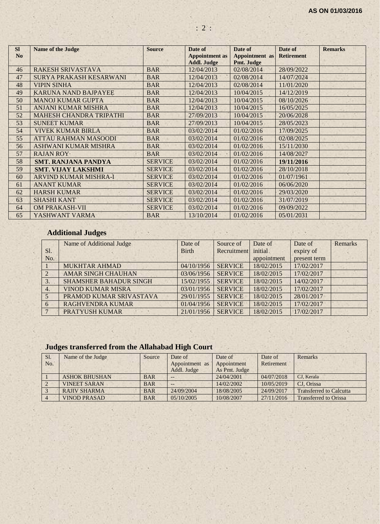| <b>SI</b>      | <b>Name of the Judge</b>       | <b>Source</b>  | Date of                          | Date of                  | Date of           | <b>Remarks</b> |
|----------------|--------------------------------|----------------|----------------------------------|--------------------------|-------------------|----------------|
| N <sub>o</sub> |                                |                | <b>Appointment</b> as            | <b>Appointment</b> as    | <b>Retirement</b> |                |
| 46             | <b>RAKESH SRIVASTAVA</b>       | <b>BAR</b>     | <b>Addl. Judge</b><br>12/04/2013 | Pmt. Judge<br>02/08/2014 | 28/09/2022        |                |
| 47             | <b>SURYA PRAKASH KESARWANI</b> | <b>BAR</b>     | 12/04/2013                       | 02/08/2014               | 14/07/2024        |                |
| 48             | <b>VIPIN SINHA</b>             | <b>BAR</b>     | 12/04/2013                       | 02/08/2014               | 11/01/2020        |                |
| 49             | <b>KARUNA NAND BAJPAYEE</b>    | <b>BAR</b>     | 12/04/2013                       | 10/04/2015               | 14/12/2019        |                |
| 50             | <b>MANOJ KUMAR GUPTA</b>       | <b>BAR</b>     | 12/04/2013                       | 10/04/2015               | 08/10/2026        |                |
| 51             | <b>ANJANI KUMAR MISHRA</b>     | <b>BAR</b>     | 12/04/2013                       | 10/04/2015               | 16/05/2025        |                |
| 52             | <b>MAHESH CHANDRA TRIPATHI</b> | <b>BAR</b>     | 27/09/2013                       | 10/04/2015               | 20/06/2028        |                |
| 53             | <b>SUNEET KUMAR</b>            | <b>BAR</b>     | 27/09/2013                       | 10/04/2015               | 28/05/2023        |                |
| 54             | <b>VIVEK KUMAR BIRLA</b>       | <b>BAR</b>     | 03/02/2014                       | 01/02/2016               | 17/09/2025        |                |
| 55             | <b>ATTAU RAHMAN MASOODI</b>    | <b>BAR</b>     | 03/02/2014                       | 01/02/2016               | 02/08/2025        |                |
| 56             | <b>ASHWANI KUMAR MISHRA</b>    | <b>BAR</b>     | 03/02/2014                       | 01/02/2016               | 15/11/2030        |                |
| 57             | <b>RAJAN ROY</b>               | <b>BAR</b>     | 03/02/2014                       | 01/02/2016               | 14/08/2027        |                |
| 58             | <b>SMT. RANJANA PANDYA</b>     | <b>SERVICE</b> | 03/02/2014                       | 01/02/2016               | 19/11/2016        |                |
| 59             | <b>SMT. VIJAY LAKSHMI</b>      | <b>SERVICE</b> | 03/02/2014                       | 01/02/2016               | 28/10/2018        |                |
| 60             | <b>ARVIND KUMAR MISHRA-I</b>   | <b>SERVICE</b> | 03/02/2014                       | 01/02/2016               | 01/07/1961        |                |
| 61             | <b>ANANT KUMAR</b>             | <b>SERVICE</b> | 03/02/2014                       | 01/02/2016               | 06/06/2020        |                |
| 62             | <b>HARSH KUMAR</b>             | <b>SERVICE</b> | 03/02/2014                       | 01/02/2016               | 29/03/2020        |                |
| 63             | <b>SHASHI KANT</b>             | <b>SERVICE</b> | 03/02/2014                       | 01/02/2016               | 31/07/2019        |                |
| 64             | <b>OM PRAKASH-VII</b>          | <b>SERVICE</b> | 03/02/2014                       | 01/02/2016               | 09/09/2022        |                |
| 65             | YASHWANT VARMA                 | <b>BAR</b>     | 13/10/2014                       | 01/02/2016               | 05/01/2031        |                |

# **Additional Judges**

|                  | Name of Additional Judge      | Date of      | Source of      | Date of        | Date of      | <b>Remarks</b> |
|------------------|-------------------------------|--------------|----------------|----------------|--------------|----------------|
| S <sub>1</sub> . |                               | <b>Birth</b> | Recruitment    | <i>initial</i> | expiry of    |                |
| No.              |                               |              |                | appointment    | present term |                |
|                  | <b>MUKHTAR AHMAD</b>          | 04/10/1956   | <b>SERVICE</b> | 18/02/2015     | 17/02/2017   |                |
| $\mathfrak{D}$   | <b>AMAR SINGH CHAUHAN</b>     | 03/06/1956   | <b>SERVICE</b> | 18/02/2015     | 17/02/2017   |                |
|                  | <b>SHAMSHER BAHADUR SINGH</b> | 15/02/1955   | <b>SERVICE</b> | 18/02/2015     | 14/02/2017   |                |
| 4.               | <b>VINOD KUMAR MISRA</b>      | 03/01/1956   | <b>SERVICE</b> | 18/02/2015     | 17/02/2017   |                |
|                  | PRAMOD KUMAR SRIVASTAVA       | 29/01/1955   | <b>SERVICE</b> | 18/02/2015     | 28/01/2017   |                |
| 6                | <b>RAGHVENDRA KUMAR</b>       | 01/04/1956   | <b>SERVICE</b> | 18/02/2015     | 17/02/2017   |                |
|                  | PRATYUSH KUMAR                | 21/01/1956   | <b>SERVICE</b> | 18/02/2015     | 17/02/2017   |                |

# **Judges transferred from the Allahabad High Court**

| Sl.<br>No. | Name of the Judge    | Source     | Date of<br>Appointment as<br>Addl. Judge | Date of<br>Appointment<br>As Pmt. Judge | Date of<br>Retirement | Remarks                        |
|------------|----------------------|------------|------------------------------------------|-----------------------------------------|-----------------------|--------------------------------|
|            | <b>ASHOK BHUSHAN</b> | <b>BAR</b> | --                                       | 24/04/2001                              | 04/07/2018            | CJ, Kerala                     |
|            | <b>VINEET SARAN</b>  | <b>BAR</b> | $- -$                                    | 14/02/2002                              | 10/05/2019            | CJ. Orissa                     |
|            | <b>RAJIV SHARMA</b>  | <b>BAR</b> | 24/09/2004                               | 18/08/2005                              | 24/09/2017            | <b>Transferred to Calcutta</b> |
|            | <b>VINOD PRASAD</b>  | <b>BAR</b> | 0.5/10/2005                              | 10/08/2007                              | 27/11/2016            | <b>Transferred to Orissa</b>   |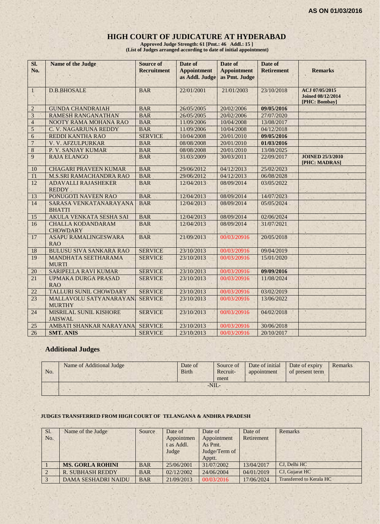#### **HIGH COURT OF JUDICATURE AT HYDERABAD**

**Approved Judge Strength: 61 [Pmt.: 46 Addl.: 15 ] (List of Judges arranged according to date of initial appointment)**

| SI.              | Name of the Judge                               | <b>Source of</b>   | Date of                              | Date of                             | Date of           |                                            |
|------------------|-------------------------------------------------|--------------------|--------------------------------------|-------------------------------------|-------------------|--------------------------------------------|
| No.              |                                                 | <b>Recruitment</b> | <b>Appointment</b><br>as Addl. Judge | <b>Appointment</b><br>as Pmt. Judge | <b>Retirement</b> | <b>Remarks</b>                             |
|                  |                                                 |                    |                                      |                                     |                   |                                            |
| $\mathbf{1}$     | <b>D.B.BHOSALE</b>                              | <b>BAR</b>         | 22/01/2001                           | 21/01/2003                          | 23/10/2018        | ACJ 07/05/2015<br><b>Joined 08/12/2014</b> |
|                  |                                                 |                    |                                      |                                     |                   | [PHC: Bombay]                              |
| $\overline{2}$   | <b>GUNDA CHANDRAIAH</b>                         | <b>BAR</b>         | 26/05/2005                           | 20/02/2006                          | 09/05/2016        |                                            |
| $\overline{3}$   | <b>RAMESH RANGANATHAN</b>                       | <b>BAR</b>         | 26/05/2005                           | 20/02/2006                          | 27/07/2020        |                                            |
| $\overline{4}$   | NOOTY RAMA MOHANA RAO                           | <b>BAR</b>         | 11/09/2006                           | 10/04/2008                          | 13/08/2017        |                                            |
| 5                | C. V. NAGARJUNA REDDY                           | <b>BAR</b>         | 11/09/2006                           | 10/04/2008                          | 04/12/2018        |                                            |
| $\sqrt{6}$       | <b>REDDI KANTHA RAO</b>                         | <b>SERVICE</b>     | 10/04/2008                           | 20/01/2010                          | 09/05/2016        |                                            |
| $\boldsymbol{7}$ | V. V. AFZULPURKAR                               | <b>BAR</b>         | 08/08/2008                           | 20/01/2010                          | 01/03/2016        |                                            |
| $\,8$            | P. V. SANJAY KUMAR                              | <b>BAR</b>         | 08/08/2008                           | 20/01/2010                          | 13/08/2025        |                                            |
| 9                | <b>RAJA ELANGO</b>                              | <b>BAR</b>         | 31/03/2009                           | 30/03/2011                          | 22/09/2017        | <b>JOINED 25/3/2010</b><br>[PHC: MADRAS]   |
| 10               | <b>CHAGARI PRAVEEN KUMAR</b>                    | <b>BAR</b>         | 29/06/2012                           | 04/12/2013                          | 25/02/2023        |                                            |
| 11               | <b>M.S.SRI RAMACHANDRA RAO</b>                  | <b>BAR</b>         | 29/06/2012                           | 04/12/2013                          | 06/08/2028        |                                            |
| 12               | <b>ADAVALLI RAJASHEKER</b><br><b>REDDY</b>      | <b>BAR</b>         | 12/04/2013                           | 08/09/2014                          | 03/05/2022        |                                            |
| 13               | PONUGOTI NAVEEN RAO                             | <b>BAR</b>         | 12/04/2013                           | 08/09/2014                          | 14/07/2023        |                                            |
| 14               | SARASA VENKATANARAYANA<br><b>BHATTI</b>         | <b>BAR</b>         | 12/04/2013                           | 08/09/2014                          | 05/05/2024        |                                            |
| 15               | AKULA VENKATA SESHA SAI                         | <b>BAR</b>         | 12/04/2013                           | 08/09/2014                          | 02/06/2024        |                                            |
| 16               | <b>CHALLA KODANDARAM</b><br><b>CHOWDARY</b>     | <b>BAR</b>         | 12/04/2013                           | 08/09/2014                          | 31/07/2021        |                                            |
| 17               | <b>ASAPU RAMALINGESWARA</b><br><b>RAO</b>       | <b>BAR</b>         | 21/09/2013                           | 00/03/20916                         | 20/05/2018        |                                            |
| 18               | <b>BULUSU SIVA SANKARA RAO</b>                  | <b>SERVICE</b>     | 23/10/2013                           | 00/03/20916                         | 09/04/2019        |                                            |
| 19               | MANDHATA SEETHARAMA<br><b>MURTI</b>             | <b>SERVICE</b>     | 23/10/2013                           | 00/03/20916                         | 15/01/2020        |                                            |
| 20               | <b>SARIPELLA RAVI KUMAR</b>                     | <b>SERVICE</b>     | 23/10/2013                           | 00/03/20916                         | 09/09/2016        |                                            |
| 21               | <b>UPMAKA DURGA PRASAD</b><br><b>RAO</b>        | <b>SERVICE</b>     | 23/10/2013                           | 00/03/20916                         | 11/08/2024        |                                            |
| 22               | <b>TALLURI SUNIL CHOWDARY</b>                   | <b>SERVICE</b>     | 23/10/2013                           | 00/03/20916                         | 03/02/2019        |                                            |
| 23               | MALLAVOLU SATYANARAYAN<br><b>MURTHY</b>         | <b>SERVICE</b>     | 23/10/2013                           | 00/03/20916                         | 13/06/2022        |                                            |
| 24               | <b>MISRILAL SUNIL KISHORE</b><br><b>JAISWAL</b> | <b>SERVICE</b>     | 23/10/2013                           | 00/03/20916                         | 04/02/2018        | ×                                          |
| 25               | AMBATI SHANKAR NARAYANA                         | <b>SERVICE</b>     | 23/10/2013                           | 00/03/20916                         | 30/06/2018        |                                            |
| 26               | <b>SMT. ANIS</b>                                | <b>SERVICE</b>     | 23/10/2013                           | 00/03/20916                         | 20/10/2017        |                                            |

# **Additional Judges**

| No. | Name of Additional Judge | Date of<br><b>Birth</b> | Source of<br>Recruit-<br>ment | Date of initial<br>appointment | Date of expiry<br>of present term | Remarks |
|-----|--------------------------|-------------------------|-------------------------------|--------------------------------|-----------------------------------|---------|
|     |                          |                         | $-NIL-$                       |                                |                                   |         |

#### **JUDGES TRANSFERRED FROM HIGH COURT OF TELANGANA & ANDHRA PRADESH**

| Sl. | Name of the Judge          | Source     | Date of    | Date of       | Date of    | Remarks                  |
|-----|----------------------------|------------|------------|---------------|------------|--------------------------|
| No. |                            |            | Appointmen | Appointment   | Retirement |                          |
|     |                            |            | t as Addl. | As Pmt.       |            |                          |
|     |                            |            | Judge      | Judge/Term of |            |                          |
|     |                            |            |            | Apptt.        |            |                          |
|     | <b>MS. GORLA ROHINI</b>    | <b>BAR</b> | 25/06/2001 | 31/07/2002    | 13/04/2017 | CJ. Delhi HC             |
|     | <b>R. SUBHASH REDDY</b>    | <b>BAR</b> | 02/12/2002 | 24/06/2004    | 04/01/2019 | CJ, Gujarat HC           |
|     | <b>DAMA SESHADRI NAIDU</b> | <b>BAR</b> | 21/09/2013 | 00/03/2016    | 17/06/2024 | Transferred to Kerala HC |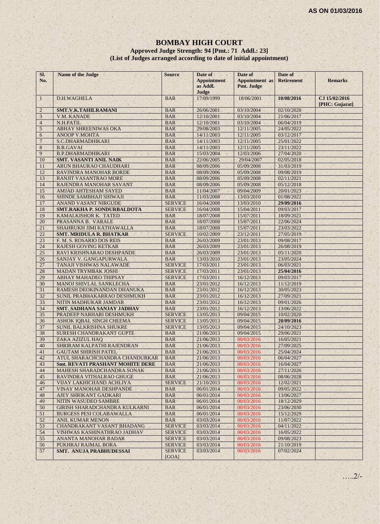#### **BOMBAY HIGH COURT Approved Judge Strength: 94 [Pmt.: 71 Addl.: 23] (List of Judges arranged according to date of initial appointment)**

| SI.<br>No.     | Name of the Judge                                | <b>Source</b>            | Date of<br><b>Appointment</b><br>as Addl.<br>Judge | Date of<br><b>Appointment</b> as<br>Pmt. Judge | Date of<br><b>Retirement</b> | <b>Remarks</b>                  |
|----------------|--------------------------------------------------|--------------------------|----------------------------------------------------|------------------------------------------------|------------------------------|---------------------------------|
| $\mathbf{1}$   | D.H.WAGHELA                                      | <b>BAR</b>               | 17/09/1999                                         | 18/06/2001                                     | 10/08/2016                   | CJ 15/02/2016<br>[PHC: Gujarat] |
| $\overline{2}$ | SMT.V.K.TAHILRAMANI                              | <b>BAR</b>               | 26/06/2001                                         | 03/10/2004                                     | 02/10/2020                   |                                 |
| $\overline{3}$ | V.M. KANADE                                      | <b>BAR</b>               | 12/10/2001                                         | 03/10/2004                                     | 21/06/2017                   |                                 |
| $\overline{4}$ | N.H.PATIL                                        | <b>BAR</b>               | 12/10/2001                                         | 03/10/2004                                     | 06/04/2019                   |                                 |
| 5              | <b>ABHAY SHREENIWAS OKA</b>                      | <b>BAR</b>               | 29/08/2003                                         | 12/11/2005                                     | 24/05/2022                   |                                 |
| 6              | <b>ANOOP V.MOHTA</b>                             | <b>BAR</b>               | 14/11/2003                                         | 12/11/2005                                     | 03/12/2017                   |                                 |
| $\overline{7}$ | S.C.DHARMADHIKARI                                | <b>BAR</b>               | 14/11/2003                                         | 12/11/2005                                     | 25/01/2022                   |                                 |
| 8              | <b>B.R.GAVAI</b>                                 | <b>BAR</b>               | 14/11/2003                                         | 12/11/2005                                     | 23/11/2022                   |                                 |
| 9              | <b>B.P.DHARMADHIKARI</b>                         | <b>BAR</b>               | 15/03/2004<br>×                                    | 12/03/2006                                     | 27/04/2020                   |                                 |
| 10             | <b>SMT. VASANTI ANIL NAIK</b>                    | <b>BAR</b>               | 22/06/2005                                         | 29/04/2007                                     | 02/05/2018                   |                                 |
| 11             | ARUN BHAURAO CHAUDHARI                           | <b>BAR</b>               | 08/09/2006                                         | 05/09/2008                                     | 31/03/2019                   |                                 |
| 12             | RAVINDRA MANOHAR BORDE                           | <b>BAR</b>               | 08/09/2006                                         | 05/09/2008                                     | 09/08/2019                   |                                 |
| 13             | <b>RANJIT VASANTRAO MORE</b>                     | <b>BAR</b>               | 08/09/2006                                         | 05/09/2008                                     | 02/11/2021                   |                                 |
| 14             | RAJENDRA MANOHAR SAVANT                          | <b>BAR</b>               | 08/09/2006                                         | 05/09/2008                                     | 05/12/2018                   |                                 |
| 15             | <b>AMJAD AHTESHAM SAYED</b>                      | <b>BAR</b>               | 11/04/2007                                         | 09/04/2009                                     | 20/01/2023                   |                                 |
| 16             | SHINDE SAMBHAJI SHIWAJI                          | <b>BAR</b>               | 11/03/2008                                         | 13/03/2010                                     | 01/08/2022                   |                                 |
| 17             | <b>ANAND VASANT NIRGUDE</b>                      | <b>SERVICE</b>           | 16/04/2008                                         | 13/03/2010                                     | 29/09/2016                   |                                 |
| 18             | <b>SMT.RAKHA P. SONDURBALDOTA</b>                | <b>SERVICE</b>           | 16/04/2008                                         | 15/04/2011                                     | 09/03/2017                   |                                 |
| 19             | KAMALKISHOR K. TATED                             | <b>BAR</b>               | 18/07/2008                                         | 15/07/2011                                     | 18/09/2021                   |                                 |
| 20             | PRASANNA B. VARALE                               | <b>BAR</b>               | 18/07/2008                                         | 15/07/2011                                     | 22/06/2024                   |                                 |
| 21             | SHAHRUKH JIMI KATHAWALLA                         | <b>BAR</b>               | 18/07/2008                                         | 15/07/2011                                     | 23/03/2022                   |                                 |
| 22             | <b>SMT. MRIDULA R. BHATKAR</b>                   | <b>SERVICE</b>           | 10/02/2009                                         | 23/12/2011                                     | 27/05/2019                   |                                 |
| 23             | F. M. S. ROSARIO DOS REIS                        | <b>BAR</b>               | 26/03/2009                                         | 23/01/2013                                     | 09/08/2017                   |                                 |
| 24             | <b>RAJESH GOVING KETKAR</b>                      | <b>BAR</b>               | 26/03/2009                                         | 23/01/2013                                     | 26/08/2019                   |                                 |
| 25             | RAVI KRISHNARAO DESHPANDE                        | <b>BAR</b>               | 26/03/2009                                         | 23/01/2013                                     | 05/11/2020                   |                                 |
| 26             | SANJAY V. GANGAPURWALA                           | <b>BAR</b>               | 13/03/2010                                         | 23/01/2013                                     | 23/05/2024                   |                                 |
| 27             | TANAJI VISHWAS NALAWADE                          | <b>SERVICE</b>           | 17/03/2011                                         | 23/01/2013                                     | 06/03/2021                   |                                 |
| 28             | <b>MADAN TRYMBAK JOSHI</b>                       | <b>SERVICE</b>           | 17/03/2011                                         | 23/01/2013                                     | 25/04/2016                   |                                 |
| 29             | ABHAY MAHADEO THIPSAY                            | <b>SERVICE</b>           | 17/03/2011                                         | 16/12/2013                                     | 09/03/2017                   |                                 |
| 30             | <b>MANOJ SHIVLAL SANKLECHA</b>                   | <b>BAR</b>               | 23/01/2012                                         | 16/12/2013                                     | 11/12/2019                   |                                 |
| 31             | RAMESH DEOKINANDAN DHANUKA                       | <b>BAR</b>               | 23/01/2012                                         | 16/12/2013                                     | 30/05/2023                   |                                 |
| 32             | SUNIL PRABHAKARRAO DESHMUKH                      | <b>BAR</b>               | 23/01/2012                                         | 16/12/2013                                     | 27/09/2021                   |                                 |
| 33             | NITIN MADHUKAR JAMDAR                            | <b>BAR</b>               | 23/01/2012                                         | 16/12/2013                                     | 09/01/2026                   |                                 |
| 34             | <b>SMT. SADHANA SANJAY JADHAV</b>                | <b>BAR</b>               | 23/01/2012                                         | 16/12/2013                                     | 13/06/2022                   |                                 |
| 35             | PRADEEP NARHARI DESHMUKH                         | <b>SERVICE</b>           | 13/05/2013                                         | 09/04/2015                                     | 10/02/2020                   |                                 |
| 36             | ASHOK IQBAL SINGH CHEEMA                         | <b>SERVICE</b>           | 13/05/2013                                         | 09/04/2015                                     | 20/09/2016                   |                                 |
| 37             | <b>SUNIL BALKRISHNA SHUKRE</b>                   | <b>SERVICE</b>           | 13/05/2013                                         | 09/04/2015                                     | 24/10/2023                   |                                 |
| 38             | SURESH CHANDRAKANT GUPTE                         | <b>BAR</b>               | 21/06/2013                                         | 09/04/2015                                     | 29/06/2021                   |                                 |
| 39             | ZAKA AZIZUL HAQ                                  | <b>BAR</b>               | 21/06/2013                                         | 00/03/2016                                     | 16/05/2021                   |                                 |
| 40             | SHRIRAM KALPATHI RAJENDRAN                       | <b>BAR</b>               | 21/06/2013                                         | 00/03/2016                                     | 27/09/2025                   |                                 |
| 41             | <b>GAUTAM SHIRISH PATEL</b>                      | <b>BAR</b>               | 21/06/2013                                         | 00/03/2016                                     | 25/04/2024                   |                                 |
| 42             | ATUL SHARACHCHANDRA CHANDURKAR                   | <b>BAR</b>               | 21/06/2013                                         | 00/03/2016                                     | 06/04/2027                   |                                 |
| 43             | <b>Smt. REVATI PRASHANT MOHITE DERE</b>          | <b>BAR</b>               | 21/06/2013                                         | 00/03/2016                                     | 16/04/2027                   |                                 |
| 44             | MAHESH SHARADCHANDRA SONAK                       | <b>BAR</b>               | 21/06/2013                                         | 00/03/2016                                     | 27/11/2026                   |                                 |
| 45             | RAVINDRA VITHALRAO GHUGE                         | <b>BAR</b>               | 21/06/2013                                         | 00/03/2016                                     | 08/06/2028                   |                                 |
| 46             | <b>VIJAY LAKHICHAND ACHLIYA</b>                  | <b>SERVICE</b>           | 21/10/2013                                         | 00/03/2016                                     | 12/02/2021                   |                                 |
| 47             |                                                  |                          | 06/01/2014                                         | 00/03/2016                                     |                              |                                 |
| 48             | VINAY MANOHAR DESHPANDE<br>AJEY SHRIKANT GADKARI | <b>BAR</b><br><b>BAR</b> | 06/01/2014                                         | 00/03/2016                                     | 09/05/2022<br>13/06/2027     |                                 |
|                |                                                  |                          |                                                    |                                                |                              |                                 |
| 49             | NITIN WASUDEO SAMBRE                             | <b>BAR</b>               | 06/01/2014                                         | 00/03/2016<br>00/03/2016                       | 18/12/2029                   |                                 |
| 50             | <b>GIRISH SHARADCHANDRA KULKARNI</b>             | <b>BAR</b>               | 06/01/2014                                         |                                                | 23/06/2030                   |                                 |
| 51             | <b>BURGESS PESI COLABAWALLA</b>                  | <b>BAR</b>               | 06/01/2014                                         | 00/03/2016                                     | 15/12/2029                   |                                 |
| 52             | <b>ANIL KUMAR MENON</b>                          | <b>BAR</b>               | 03/03/2014                                         | 00/03/2016                                     | 11/07/2022                   |                                 |
| 53             | <b>CHANDRAKANT VASANT BHADANG</b>                | <b>SERVICE</b>           | 03/03/2014                                         | 00/03/2016                                     | 04/11/2022                   |                                 |
| 54             | VISHWAS KASHINATHRAO JADHAV                      | <b>SERVICE</b>           | 03/03/2014                                         | 00/03/2016                                     | 16/05/2022                   |                                 |
| 55             | ANANTA MANOHAR BADAR                             | <b>SERVICE</b>           | 03/03/2014                                         | 00/03/2016                                     | 09/08/2023                   |                                 |
| 56             | PUKHRAJ RAJMAL BORA                              | <b>SERVICE</b>           | 03/03/2014                                         | 00/03/2016                                     | 21/10/2019                   |                                 |
| 57             | SMT. ANUJA PRABHUDESSAI                          | <b>SERVICE</b><br>[GOA]  | 03/03/2014                                         | 00/03/2016                                     | 07/02/2024                   |                                 |

…..2/-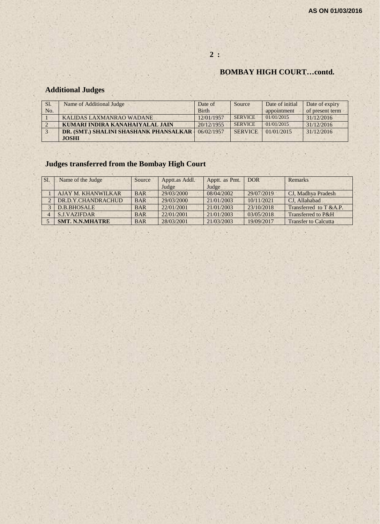# **BOMBAY HIGH COURT…contd.**

# **Additional Judges**

| Sl. | Name of Additional Judge               | Date of      | Source         | Date of initial | Date of expiry  |
|-----|----------------------------------------|--------------|----------------|-----------------|-----------------|
| No. |                                        | <b>Birth</b> |                | appointment     | of present term |
|     | KALIDAS LAXMANRAO WADANE               | 12/01/1957   | <b>SERVICE</b> | 01/01/2015      | 31/12/2016      |
|     | KUMARI INDIRA KANAHAIYALAL JAIN        | 20/12/1955   | <b>SERVICE</b> | 01/01/2015      | 31/12/2016      |
|     | DR. (SMT.) SHALINI SHASHANK PHANSALKAR | 06/02/1957   | <b>SERVICE</b> | 01/01/2015      | 31/12/2016      |
|     | <b>JOSHI</b>                           |              |                |                 |                 |

**2 :**

# **Judges transferred from the Bombay High Court**

| SI. | Name of the Judge      | Source     | Apptt.as Addl. | Apptt. as Pmt. | DOR <sub>1</sub> | Remarks                     |
|-----|------------------------|------------|----------------|----------------|------------------|-----------------------------|
|     |                        |            | Judge          | Judge          |                  |                             |
|     | AJAY M. KHANWILKAR     | <b>BAR</b> | 29/03/2000     | 08/04/2002     | 29/07/2019       | CJ, Madhya Pradesh          |
|     | DR.D.Y.CHANDRACHUD     | <b>BAR</b> | 29/03/2000     | 21/01/2003     | 10/11/2021       | CJ. Allahabad               |
|     | <b>D.B.BHOSALE</b>     | <b>BAR</b> | 22/01/2001     | 21/01/2003     | 23/10/2018       | Transferred to $T$ & A.P.   |
|     | <b>S.J.VAZIFDAR</b>    | <b>BAR</b> | 22/01/2001     | 21/01/2003     | 03/05/2018       | Transferred to P&H          |
|     | <b>SMT. N.N.MHATRE</b> | <b>BAR</b> | 28/03/2001     | 21/03/2003     | 19/09/2017       | <b>Transfer to Calcutta</b> |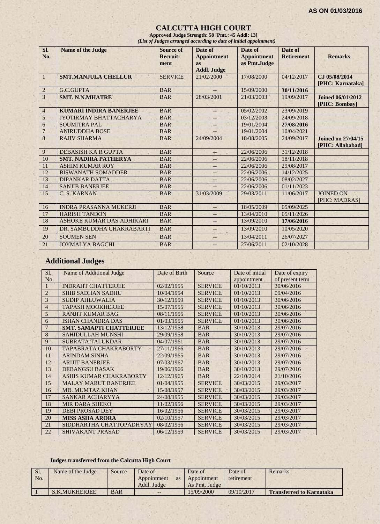#### **CALCUTTA HIGH COURT**

**Approved Judge Strength: 58 [Pmt.: 45 Addl: 13]** *(List of Judges arranged according to date of initial appointment)*

| Sl.<br>No.     | <b>Name of the Judge</b>      | Source of<br>Recruit-<br>ment | Date of<br><b>Appointment</b><br><b>as</b><br><b>Addl. Judge</b> | Date of<br><b>Appointment</b><br>as Pmt.Judge | Date of<br><b>Retirement</b> | <b>Remarks</b>                                |
|----------------|-------------------------------|-------------------------------|------------------------------------------------------------------|-----------------------------------------------|------------------------------|-----------------------------------------------|
| 1              | <b>SMT.MANJULA CHELLUR</b>    | <b>SERVICE</b>                | 21/02/2000                                                       | 17/08/2000                                    | 04/12/2017                   | CJ 05/08/2014<br>[PHC: Karnataka]             |
| $\overline{2}$ | G.C.GUPTA                     | <b>BAR</b>                    |                                                                  | 15/09/2000                                    | 30/11/2016                   |                                               |
| 3              | <b>SMT. N.N.MHATRE</b>        | <b>BAR</b>                    | 28/03/2001                                                       | 21/03/2003                                    | 19/09/2017                   | <b>Joined 06/01/2012</b><br>[PHC: Bombay]     |
| $\overline{4}$ | <b>KUMARI INDIRA BANERJEE</b> | <b>BAR</b>                    | $\qquad \qquad -$                                                | 05/02/2002                                    | 23/09/2019                   |                                               |
| 5              | JYOTIRMAY BHATTACHARYA        | <b>BAR</b>                    | --                                                               | 03/12/2003                                    | 24/09/2018                   |                                               |
| 6              | <b>SOUMITRA PAL</b>           | <b>BAR</b>                    | $\qquad \qquad -$                                                | 19/01/2004                                    | 27/08/2016                   |                                               |
| $\overline{7}$ | <b>ANIRUDDHA BOSE</b>         | <b>BAR</b>                    | $-$                                                              | 19/01/2004                                    | 10/04/2021                   |                                               |
| 8              | <b>RAJIV SHARMA</b>           | <b>BAR</b>                    | 24/09/2004                                                       | 18/08/2005                                    | 24/09/2017                   | <b>Joined on 27/04/15</b><br>[PHC: Allahabad] |
| 9              | DEBASISH KA R GUPTA           | <b>BAR</b>                    | --                                                               | 22/06/2006                                    | 31/12/2018                   |                                               |
| 10             | <b>SMT. NADIRA PATHERYA</b>   | <b>BAR</b>                    | --                                                               | 22/06/2006                                    | 18/11/2018                   |                                               |
| 11             | <b>ASHIM KUMAR ROY</b>        | <b>BAR</b>                    | $- -$                                                            | 22/06/2006                                    | 29/08/2017                   |                                               |
| 12             | <b>BISWANATH SOMADDER</b>     | <b>BAR</b>                    | --                                                               | 22/06/2006                                    | 14/12/2025                   |                                               |
| 13             | <b>DIPANKAR DATTA</b>         | <b>BAR</b>                    | $--$                                                             | 22/06/2006                                    | 08/02/2027                   |                                               |
| 14             | <b>SANJIB BANERJEE</b>        | <b>BAR</b>                    |                                                                  | 22/06/2006                                    | 01/11/2023                   |                                               |
| 15             | C. S. KARNAN                  | <b>BAR</b>                    | 31/03/2009                                                       | 29/03/2011                                    | 11/06/2017                   | <b>JOINED ON</b><br>[PHC: MADRAS]             |
| 16             | <b>INDRA PRASANNA MUKERJI</b> | <b>BAR</b>                    | $-$                                                              | 18/05/2009                                    | 05/09/2025                   |                                               |
| 17             | <b>HARISH TANDON</b>          | <b>BAR</b>                    | $-$                                                              | 13/04/2010                                    | 05/11/2026                   |                                               |
| 18             | ASHOKE KUMAR DAS ADHIKARI     | <b>BAR</b>                    | $\qquad \qquad -$                                                | 13/09/2010                                    | 17/06/2016                   |                                               |
| 19             | DR. SAMBUDDHA CHAKRABARTI     | <b>BAR</b>                    | --                                                               | 13/09/2010                                    | 10/05/2020                   |                                               |
| 20             | <b>SOUMEN SEN</b>             | <b>BAR</b>                    | --                                                               | 13/04/2011                                    | 26/07/2027                   |                                               |
| 21             | <b>JOYMALYA BAGCHI</b>        | <b>BAR</b>                    | $- -$                                                            | 27/06/2011                                    | 02/10/2028                   |                                               |

# **Additional Judges**

| SI.            | Name of Additional Judge       | Date of Birth | Source         | Date of initial | Date of expiry  |
|----------------|--------------------------------|---------------|----------------|-----------------|-----------------|
| No.            |                                |               |                | appointment     | of present term |
|                | <b>INDRAJIT CHATTERJEE</b>     | 02/02/1955    | <b>SERVICE</b> | 01/10/2013      | 30/06/2016      |
| $\overline{2}$ | <b>SHIB SADHAN SADHU</b>       | 10/04/1954    | <b>SERVICE</b> | 01/10/2013      | 09/04/2016      |
| 3              | <b>SUDIP AHLUWALIA</b>         | 30/12/1959    | <b>SERVICE</b> | 01/10/2013      | 30/06/2016      |
| $\overline{4}$ | <b>TAPASH MOOKHERJEE</b>       | 15/07/1955    | <b>SERVICE</b> | 01/10/2013      | 30/06/2016      |
| 5              | <b>RANJIT KUMAR BAG</b>        | 08/11/1955    | <b>SERVICE</b> | 01/10/2013      | 30/06/2016      |
| 6              | <b>ISHAN CHANDRA DAS</b>       | 01/03/1955    | <b>SERVICE</b> | 01/10/2013      | 30/06/2016      |
| $\overline{7}$ | <b>SMT. SAMAPTI CHATTERJEE</b> | 13/12/1958    | <b>BAR</b>     | 30/10/2013      | 29/07/2016      |
| 8              | <b>SAHIDULLAH MUNSHI</b>       | 29/09/1958    | <b>BAR</b>     | 30/10/2013      | 29/07/2016      |
| 9              | <b>SUBRATA TALUKDAR</b>        | 04/07/1961    | <b>BAR</b>     | 30/10/2013      | 29/07/2016      |
| 10             | TAPABRATA CHAKRABORTY          | 27/11/1966    | <b>BAR</b>     | 30/10/2013      | 29/07/2016      |
| 11             | <b>ARINDAM SINHA</b>           | 22/09/1965    | <b>BAR</b>     | 30/10/2013      | 29/07/2016      |
| 12             | <b>ARLIIT BANERJEE</b>         | 07/03/1967    | <b>BAR</b>     | 30/10/2013      | 29/07/2016      |
| 13             | <b>DEBANGSU BASAK</b>          | 19/06/1966    | <b>BAR</b>     | 30/10/2013      | 29/07/2016      |
| 14             | ASHIS KUMAR CHAKRABORTY        | 12/12/1965    | <b>BAR</b>     | 22/10/2014      | 21/10/2016      |
| 15             | <b>MALAY MARUT BANERJEE</b>    | 01/04/1955    | <b>SERVICE</b> | 30/03/2015      | 29/03/2017      |
| 16             | <b>MD. MUMTAZ KHAN</b>         | 15/08/1957    | <b>SERVICE</b> | 30/03/2015      | 29/03/2017      |
| 17             | <b>SANKAR ACHARYYA</b>         | 24/08/1955    | <b>SERVICE</b> | 30/03/2015      | 29/03/2017      |
| 18             | <b>MIR DARA SHEKO</b>          | 11/02/1956    | <b>SERVICE</b> | 30/03/2015      | 29/03/2017      |
| 19             | <b>DEBI PROSAD DEY</b>         | 16/02/1956    | <b>SERVICE</b> | 30/03/2015      | 29/03/2017      |
| 20             | <b>MISS ASHA ARORA</b>         | 02/10/1957    | <b>SERVICE</b> | 30/03/2015      | 29/03/2017      |
| 21             | SIDDHARTHA CHATTOPADHYAY       | 08/02/1956    | <b>SERVICE</b> | 30/03/2015      | 29/03/2017      |
| 22             | <b>SHIVAKANT PRASAD</b>        | 06/12/1959    | <b>SERVICE</b> | 30/03/2015      | 29/03/2017      |

#### **Judges transferred from the Calcutta High Court**

| Sl.<br>No. | Name of the Judge | Source     | Date of<br>Appointment<br><b>as</b><br>Addl. Judge | Date of<br>Appointment<br>As Pmt. Judge | Date of<br>retirement | Remarks                         |
|------------|-------------------|------------|----------------------------------------------------|-----------------------------------------|-----------------------|---------------------------------|
|            | S.K.MUKHERJEE     | <b>BAR</b> | $- -$                                              | 15/09/2000                              | 09/10/2017            | <b>Transferred to Karnataka</b> |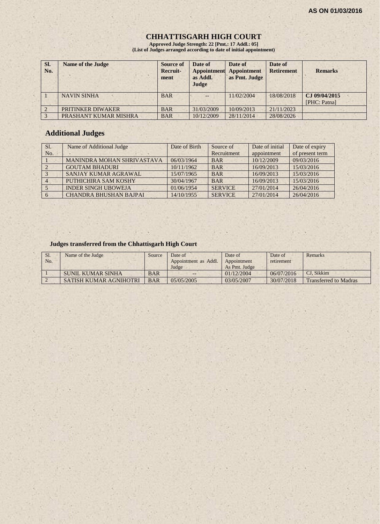# **CHHATTISGARH HIGH COURT**

**Approved Judge Strength: 22 [Pmt.: 17 Addl.: 05] (List of Judges arranged according to date of initial appointment)**

| SI.<br>No. | <b>Name of the Judge</b> | Source of<br>Recruit-<br>ment | Date of<br><b>Appointment</b><br>as Addl.<br>Judge | Date of<br><b>Appointment</b><br>as Pmt. Judge | Date of<br><b>Retirement</b> | <b>Remarks</b>                |
|------------|--------------------------|-------------------------------|----------------------------------------------------|------------------------------------------------|------------------------------|-------------------------------|
|            | <b>NAVIN SINHA</b>       | <b>BAR</b>                    | $-$                                                | 11/02/2004                                     | 18/08/2018                   | CJ 09/04/2015<br>[PHC: Patna] |
|            | PRITINKER DIWAKER        | <b>BAR</b>                    | 31/03/2009                                         | 10/09/2013                                     | 21/11/2023                   |                               |
|            | PRASHANT KUMAR MISHRA    | <b>BAR</b>                    | 10/12/2009                                         | 28/11/2014                                     | 28/08/2026                   |                               |

# **Additional Judges**

| Sl. | Name of Additional Judge          | Date of Birth | Source of      | Date of initial | Date of expiry  |
|-----|-----------------------------------|---------------|----------------|-----------------|-----------------|
| No. |                                   |               | Recruitment    | appointment     | of present term |
|     | <b>MANINDRA MOHAN SHRIVASTAVA</b> | 06/03/1964    | <b>BAR</b>     | 10/12/2009      | 09/03/2016      |
|     | <b>GOUTAM BHADURI</b>             | 10/11/1962    | <b>BAR</b>     | 16/09/2013      | 15/03/2016      |
|     | SANJAY KUMAR AGRAWAL              | 15/07/1965    | <b>BAR</b>     | 16/09/2013      | 15/03/2016      |
|     | PUTHICHIRA SAM KOSHY              | 30/04/1967    | <b>BAR</b>     | 16/09/2013      | 15/03/2016      |
|     | <b>INDER SINGH UBOWEJA</b>        | 01/06/1954    | <b>SERVICE</b> | 27/01/2014      | 26/04/2016      |
|     | <b>CHANDRA BHUSHAN BAJPAL</b>     | 14/10/1955    | <b>SERVICE</b> | 27/01/2014      | 26/04/2016      |

#### **Judges transferred from the Chhattisgarh High Court**

| S <sub>1</sub><br>No. | Name of the Judge             | Source     | Date of<br>Appointment as Addl.<br>Judge | Date of<br>Appointment<br>As Pmt. Judge | Date of<br>retirement | Remarks                      |
|-----------------------|-------------------------------|------------|------------------------------------------|-----------------------------------------|-----------------------|------------------------------|
|                       | SUNIL KUMAR SINHA             | <b>BAR</b> | $-1$                                     | 01/12/2004                              | 06/07/2016            | CJ. Sikkim                   |
|                       | <b>SATISH KUMAR AGNIHOTRI</b> | <b>BAR</b> | 0.5/0.5/200.5                            | 03/05/2007                              | 30/07/2018            | <b>Transferred to Madras</b> |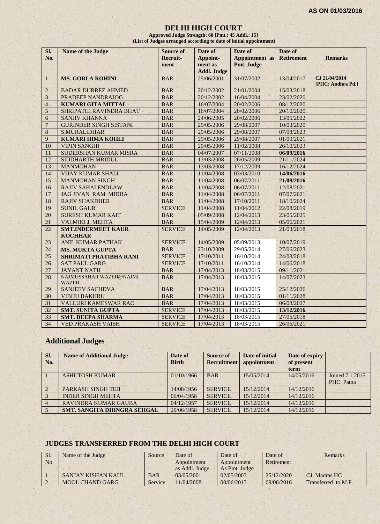#### **DELHI HIGH COURT**

**Approved Judge Strength: 60 [Pmt.: 45 Addl.: 15] (List of Judges arranged according to date of initial appointment)**

| SI.            | <b>Name of the Judge</b>                  | <b>Source of</b> | Date of            | Date of               | Date of           |                                    |
|----------------|-------------------------------------------|------------------|--------------------|-----------------------|-------------------|------------------------------------|
| No.            |                                           | <b>Recruit-</b>  | Appoint-           | <b>Appointment</b> as | <b>Retirement</b> | <b>Remarks</b>                     |
|                |                                           | ment             | ment as            | Pmt. Judge            |                   |                                    |
|                |                                           |                  | <b>Addl. Judge</b> |                       |                   |                                    |
| $\mathbf{1}$   | <b>MS. GORLA ROHINI</b>                   | <b>BAR</b>       | 25/06/2001         | 31/07/2002            | 13/04/2017        | CJ 21/04/2014<br>[PHC: Andhra Pd.] |
| $\overline{2}$ | <b>BADAR DURREZ AHMED</b>                 | <b>BAR</b>       | 20/12/2002         | 21/01/2004            | 15/03/2018        |                                    |
| 3              | <b>PRADEEP NANDRAJOG</b>                  | <b>BAR</b>       | 20/12/2002         | 16/04/2004            | 23/02/2020        |                                    |
| $\overline{4}$ | <b>KUMARI GITA MITTAL</b>                 | <b>BAR</b>       | 16/07/2004         | 20/02/2006            | 08/12/2020        |                                    |
| 5              | SHRIPATHI RAVINDRA BHAT                   | <b>BAR</b>       | 16/07/2004         | 20/02/2006            | 20/10/2020        |                                    |
| 6              | <b>SANJIV KHANNA</b>                      | <b>BAR</b>       | 24/06/2005         | 20/02/2006            | 13/05/2022        |                                    |
| $\overline{7}$ | <b>GURINDER SINGH SISTANI</b>             | <b>BAR</b>       | 29/05/2006         | 29/08/2007            | 10/03/2020        |                                    |
| 8              | <b>S.MURALIDHAR</b>                       | <b>BAR</b>       | 29/05/2006         | 29/08/2007            | 07/08/2023        |                                    |
| 9              | <b>KUMARI HIMA KOHLI</b>                  | <b>BAR</b>       | 29/05/2006         | 29/08/2007            | 01/09/2021        |                                    |
| 10             | <b>VIPIN SANGHI</b>                       | <b>BAR</b>       | 29/05/2006         | 11/02/2008            | 26/10/2023        |                                    |
| 11             | SUDERSHAN KUMAR MISRA                     | <b>BAR</b>       | 04/07/2007         | 07/11/2008            | 06/09/2016        |                                    |
| 12             | SIDDHARTH MRIDUL                          | <b>BAR</b>       | 13/03/2008         | 26/05/2009            | 21/11/2024        |                                    |
| 13             | <b>MANMOHAN</b>                           | <b>BAR</b>       | 13/03/2008         | 17/12/2009            | 16/12/2024        |                                    |
| 14             | <b>VIJAY KUMAR SHALI</b>                  | <b>BAR</b>       | 11/04/2008         | 03/03/2010            | 14/06/2016        |                                    |
| 15             | <b>MANMOHAN SINGH</b>                     | <b>BAR</b>       | 11/04/2008         | 06/07/2011            | 21/09/2016        |                                    |
| 16             | <b>RAJIV SAHAI ENDLAW</b>                 | <b>BAR</b>       | 11/04/2008         | 06/07/2011            | 12/08/2021        |                                    |
| 17             | <b>JAG JIVAN RAM MIDHA</b>                | <b>BAR</b>       | 11/04/2008         | 06/07/2011            | 07/07/2021        |                                    |
| 18             | <b>RAJIV SHAKDHER</b>                     | <b>BAR</b>       | 11/04/2008         | 17/10/2011            | 18/10/2024        |                                    |
| 19             | <b>SUNIL GAUR</b>                         | <b>SERVICE</b>   | 11/04/2008         | 11/04/2012            | 22/08/2019        |                                    |
| 20             | <b>SURESH KUMAR KAIT</b>                  | <b>BAR</b>       | 05/09/2008         | 12/04/2013            | 23/05/2025        |                                    |
| 21             | <b>VALMIKI J. MEHTA</b>                   | <b>BAR</b>       | 15/04/2009         | 12/04/2013            | 05/06/2021        |                                    |
| 22             | <b>SMT.INDERMEET KAUR</b>                 | <b>SERVICE</b>   | 14/05/2009         | 12/04/2013            | 21/03/2018        |                                    |
|                | <b>KOCHHAR</b>                            |                  |                    |                       |                   |                                    |
| 23             | <b>ANIL KUMAR PATHAK</b>                  | <b>SERVICE</b>   | 14/05/2009         | 05/09/2013            | 10/07/2019        |                                    |
| 24             | <b>MS. MUKTA GUPTA</b>                    | <b>BAR</b>       | 23/10/2009         | 29/05/2014            | 27/06/2023        |                                    |
| 25             | <b>SHRIMATI PRATIBHA RANI</b>             | <b>SERVICE</b>   | 17/10/2011         | 16/10/2014            | 24/08/2018        |                                    |
| 26             | <b>SAT PAUL GARG</b>                      | <b>SERVICE</b>   | 17/10/2011         | 16/10/2014            | 14/06/2018        |                                    |
| 27             | <b>JAYANT NATH</b>                        | <b>BAR</b>       | 17/04/2013         | 18/03/2015            | 09/11/2021        |                                    |
| 28             | NAJMUSSAHAR WAZIRI@NAJMI<br><b>WAZIRI</b> | <b>BAR</b>       | 17/04/2013         | 18/03/2015            | 14/07/2023        |                                    |
| 29             | <b>SANJEEV SACHDVA</b>                    | <b>BAR</b>       | 17/04/2013         | 18/03/2015            | 25/12/2026        |                                    |
| 30             | <b>VIBHU BAKHRU</b>                       | <b>BAR</b>       | 17/04/2013         | 18/03/2015            | 01/11/2028        |                                    |
| 31             | VALLURI KAMESWAR RAO                      | <b>BAR</b>       | 17/04/2013         | 18/03/2015            | 06/08/2027        |                                    |
| 32             | <b>SMT. SUNITA GUPTA</b>                  | <b>SERVICE</b>   | 17/04/2013         | 18/03/2015            | 13/12/2016        |                                    |
| 33             | <b>SMT. DEEPA SHARMA</b>                  | <b>SERVICE</b>   | 17/04/2013         | 18/03/2015            | 27/05/2018        |                                    |
| 34             | <b>VED PRAKASH VAISH</b>                  | <b>SERVICE</b>   | 17/04/2013         | 18/03/2015            | 26/06/2021        |                                    |

# **Additional Judges**

| SI.<br>No.     | <b>Name of Additional Judge</b>    | Date of<br><b>Birth</b> | Source of<br><b>Recruitment</b> | Date of initial<br>appointment | Date of expiry<br>of present<br>term |                 |
|----------------|------------------------------------|-------------------------|---------------------------------|--------------------------------|--------------------------------------|-----------------|
|                | <b>ASHUTOSH KUMAR</b>              | 01/10/1966              | <b>BAR</b>                      | 15/05/2014                     | 14/05/2016                           | Joined 7.1.2015 |
|                |                                    |                         |                                 |                                |                                      | PHC: Patna      |
| $\overline{2}$ | <b>PARKASH SINGH TEJI</b>          | 14/08/1956              | <b>SERVICE</b>                  | 15/12/2014                     | 14/12/2016                           |                 |
|                | <b>INDER SINGH MEHTA</b>           | 06/04/1958              | <b>SERVICE</b>                  | 15/12/2014                     | 14/12/2016                           |                 |
|                | <b>RAVINDRA KUMAR GAUBA</b>        | 04/12/1957              | <b>SERVICE</b>                  | 15/12/2014                     | 14/12/2016                           |                 |
|                | <b>SMT. SANGITA DHINGRA SEHGAL</b> | 20/06/1958              | <b>SERVICE</b>                  | 15/12/2014                     | 14/12/2016                           |                 |

# **JUDGES TRANSFERRED FROM THE DELHI HIGH COURT**

| Sl. | Name of the Judge      | Source     | Date of                    | Date of       | Date of    | Remarks             |
|-----|------------------------|------------|----------------------------|---------------|------------|---------------------|
| No. |                        |            | Appointment<br>Appointment |               | Retirement |                     |
|     |                        |            | as Addl. Judge             | As Pmt. Judge |            |                     |
|     | SANJAY KISHAN KAUL     | <b>BAR</b> | 03/05/2001                 | 02/05/2003    | 25/12/2020 | CJ. Madras HC       |
|     | <b>MOOL CHAND GARG</b> | Service    | 1/04/2008                  | 00/06/2013    | 09/06/2016 | Transferred to M.P. |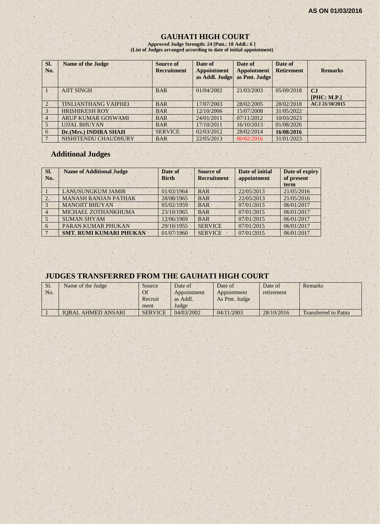# **GAUHATI HIGH COURT**

**Approved Judge Strength: 24 [Pmt.: 18 Addl.: 6 ] (List of Judges arranged according to date of initial appointment)**

| SI.<br>No.    | <b>Name of the Judge</b>    | Source of<br><b>Recruitment</b> | Date of<br><b>Appointment</b><br>as Addl. Judge | Date of<br><b>Appointment</b><br>as Pmt. Judge | Date of<br><b>Retirement</b> | <b>Remarks</b>    |
|---------------|-----------------------------|---------------------------------|-------------------------------------------------|------------------------------------------------|------------------------------|-------------------|
|               | <b>AJIT SINGH</b>           | <b>BAR</b>                      | 01/04/2002                                      | 21/03/2003                                     | 05/09/2018                   | CJ<br>[PHC: M.P.] |
| $\mathcal{L}$ | <b>TINLIANTHANG VAIPHEI</b> | <b>BAR</b>                      | 17/07/2003                                      | 28/02/2005                                     | 28/02/2018                   | ACJ 21/10/2015    |
|               | <b>HRISHIKESH ROY</b>       | <b>BAR</b>                      | 12/10/2006                                      | 15/07/2008                                     | 31/05/2022                   |                   |
| 4             | <b>ARUP KUMAR GOSWAMI</b>   | <b>BAR</b>                      | 24/01/2011                                      | 07/11/2012                                     | 10/03/2023                   |                   |
|               | <b>UJJAL BHUYAN</b>         | <b>BAR</b>                      | 17/10/2011                                      | 16/10/2013                                     | 01/08/2026                   |                   |
| 6             | Dr.(Mrs.) INDIRA SHAH       | <b>SERVICE</b>                  | 02/03/2012                                      | 28/02/2014                                     | 16/08/2016                   |                   |
|               | NISHITENDU CHAUDHURY        | <b>BAR</b>                      | 22/05/2013                                      | 00/02/2016                                     | 31/01/2023                   |                   |

# **Additional Judges**

| SI.<br>No.     | <b>Name of Additional Judge</b> | Date of<br><b>Birth</b> | <b>Source of</b><br><b>Recruitment</b> | Date of initial<br>appointment | Date of expiry<br>of present<br>term |
|----------------|---------------------------------|-------------------------|----------------------------------------|--------------------------------|--------------------------------------|
|                | <b>LANUSUNGKUM JAMIR</b>        | 01/03/1964              | <b>BAR</b>                             | 22/05/2013                     | 21/05/2016                           |
| 2.             | <b>MANASH RANJAN PATHAK</b>     | 28/08/1965              | <b>BAR</b>                             | 22/05/2013                     | 21/05/2016                           |
| $\overline{3}$ | <b>MANOJIT BHUYAN</b>           | 05/02/1959              | <b>BAR</b>                             | 07/01/2015                     | 06/01/2017                           |
| $\overline{4}$ | MICHAEL ZOTHANKHUMA             | 23/10/1965              | <b>BAR</b>                             | 07/01/2015                     | 06/01/2017                           |
| $\sim$         | <b>SUMAN SHYAM</b>              | 12/06/1969              | <b>BAR</b>                             | 07/01/2015                     | 06/01/2017                           |
| 6              | PARAN KUMAR PHUKAN              | 29/10/1955              | <b>SERVICE</b>                         | 07/01/2015                     | 06/01/2017                           |
|                | <b>SMT. RUMI KUMARI PHUKAN</b>  | 01/07/1960              | <b>SERVICE</b>                         | 07/01/2015                     | 06/01/2017                           |

# **JUDGES TRANSFERRED FROM THE GAUHATI HIGH COURT**

| Sl.<br>No. | Name of the Judge         | Source<br>Of<br>Recruit<br>ment | Date of<br>Appointment<br>as Addl.<br>Judge | Date of<br>Appointment<br>As Pmt. Judge | Date of<br>retirement | Remarks                     |
|------------|---------------------------|---------------------------------|---------------------------------------------|-----------------------------------------|-----------------------|-----------------------------|
|            | <b>IOBAL AHMED ANSARI</b> | <b>SERVICE</b>                  | 04/03/2002                                  | 04/11/2003                              | 28/10/2016            | <b>Transferred to Patna</b> |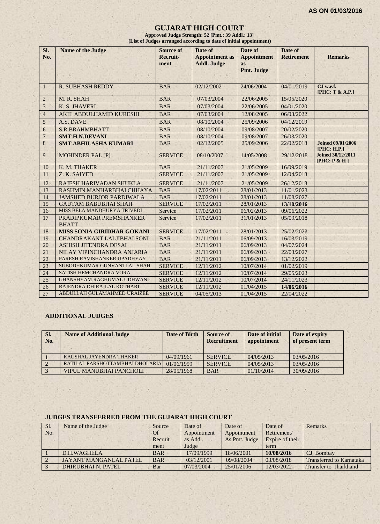#### **GUJARAT HIGH COURT**

**Approved Judge Strength: 52 [Pmt.: 39 Addl.: 13] (List of Judges arranged according to date of initial appointment)**

| SI.<br>No.     | <b>Name of the Judge</b>                | <b>Source of</b><br>Recruit-<br>ment | Date of<br><b>Appointment</b> as<br><b>Addl. Judge</b> | Date of<br><b>Appointment</b><br><b>as</b> | Date of<br><b>Retirement</b> | <b>Remarks</b>                           |
|----------------|-----------------------------------------|--------------------------------------|--------------------------------------------------------|--------------------------------------------|------------------------------|------------------------------------------|
|                |                                         |                                      |                                                        | Pmt. Judge                                 |                              |                                          |
| 1              | <b>R. SUBHASH REDDY</b>                 | <b>BAR</b>                           | 02/12/2002                                             | 24/06/2004                                 | 04/01/2019                   | CJ w.e.f.<br>[PHC: T & A.P.]             |
| $\overline{2}$ | M. R. SHAH                              | <b>BAR</b>                           | 07/03/2004                                             | 22/06/2005                                 | 15/05/2020                   |                                          |
| 3              | K. S. JHAVERI                           | <b>BAR</b>                           | 07/03/2004                                             | 22/06/2005                                 | 04/01/2020                   |                                          |
| $\overline{4}$ | <b>AKIL ABDULHAMID KURESHI</b>          | <b>BAR</b>                           | 07/03/2004                                             | 12/08/2005                                 | 06/03/2022                   |                                          |
| 5              | A.S. DAVE                               | <b>BAR</b>                           | 08/10/2004                                             | 25/09/2006                                 | 04/12/2019                   |                                          |
| 6              | S.R.BRAHMBHATT                          | <b>BAR</b>                           | 08/10/2004                                             | 09/08/2007                                 | 20/02/2020                   |                                          |
| $\overline{7}$ | <b>SMT.H.N.DEVANI</b>                   | <b>BAR</b>                           | 08/10/2004                                             | 09/08/2007                                 | 26/03/2020                   |                                          |
| 8              | <b>SMT.ABHILASHA KUMARI</b>             | <b>BAR</b>                           | 02/12/2005                                             | 25/09/2006                                 | 22/02/2018                   | <b>Joined 09/01/2006</b><br>[PHC: H.P.]  |
| 9              | <b>MOHINDER PAL [P]</b>                 | <b>SERVICE</b>                       | 08/10/2007                                             | 14/05/2008                                 | 29/12/2018                   | <b>Joined 30/12/2011</b><br>[PHC: P & H] |
| 10             | K. M. THAKER                            | <b>BAR</b>                           | 21/11/2007                                             | 21/05/2009                                 | 16/09/2019                   |                                          |
| 11             | Z. K. SAIYED                            | <b>SERVICE</b>                       | 21/11/2007                                             | 21/05/2009                                 | 12/04/2018                   |                                          |
| 12             | RAJESH HARIVADAN SHUKLA                 | <b>SERVICE</b>                       | 21/11/2007                                             | 21/05/2009                                 | 26/12/2018                   |                                          |
| 13             | RASHMIN MANHARBHAI CHHAYA               | <b>BAR</b>                           | 17/02/2011                                             | 28/01/2013                                 | 11/01/2023                   |                                          |
| 14             | <b>JAMSHED BURJOR PARDIWALA</b>         | <b>BAR</b>                           | 17/02/2011                                             | 28/01/2013                                 | 11/08/2027                   |                                          |
| 15             | <b>GAUTAM BABUBHAI SHAH</b>             | <b>SERVICE</b>                       | 17/02/2011                                             | 28/01/2013                                 | 13/10/2016                   |                                          |
| 16             | MISS BELA MANDHURYA TRIVEDI             | Service                              | 17/02/2011                                             | 06/02/2013                                 | 09/06/2022                   |                                          |
| 17             | PRADIPKUMAR PREMSHANKER<br><b>BHATT</b> | Service                              | 17/02/2011                                             | 31/01/2013                                 | 05/09/2018                   |                                          |
| 18             | <b>MISS SONIA GIRIDHAR GOKANI</b>       | <b>SERVICE</b>                       | 17/02/2011                                             | 28/01/2013                                 | 25/02/2023                   |                                          |
| 19             | <b>CHANDRAKANT LALJIBHAI SONI</b>       | <b>BAR</b>                           | 21/11/2011                                             | 06/09/2013                                 | 16/03/2019                   |                                          |
| 20             | <b>ASHISH JITENDRA DESAI</b>            | <b>BAR</b>                           | 21/11/2011                                             | 06/09/2013                                 | 04/07/2024                   |                                          |
| 21             | NILAY VIPINCHANDRA ANJARIA              | <b>BAR</b>                           | 21/11/2011                                             | 06/09/2013                                 | 22/03/2027                   |                                          |
| 22             | PARESH RAVISHANKER UPADHYAY             | <b>BAR</b>                           | 21/11/2011                                             | 06/09/2013                                 | 13/12/2022                   |                                          |
| 23             | SUBODHKUMAR GUNVANTLAL SHAH             | <b>SERVICE</b>                       | 12/11/2012                                             | 10/07/2014                                 | 01/02/2019                   |                                          |
| 24             | SATISH HEMCHANDRA VORA                  | <b>SERVICE</b>                       | 12/11/2012                                             | 10/07/2014                                 | 29/05/2023                   |                                          |
| 25             | <b>GHANSHYAM RAGHUMAL UDHWANI</b>       | <b>SERVICE</b>                       | 12/11/2012                                             | 10/07/2014                                 | 24/11/2023                   |                                          |
| 26             | RAJENDRA DHIRAJLAL KOTHARI              | <b>SERVICE</b>                       | 12/11/2012                                             | 01/04/2015                                 | 14/06/2016                   |                                          |
| 27             | ABDULLAH GULAMAHMED URAIZEE             | <b>SERVICE</b>                       | 04/05/2013                                             | 01/04/2015                                 | 22/04/2022                   |                                          |

# **ADDITIONAL JUDGES**

| SI.<br>No. | <b>Name of Additional Judge</b> | Date of Birth | Source of<br><b>Recruitment</b> | Date of initial<br>appointment | Date of expiry<br>of present term |
|------------|---------------------------------|---------------|---------------------------------|--------------------------------|-----------------------------------|
|            | KAUSHAL JAYENDRA THAKER         | 04/09/1961    | <b>SERVICE</b>                  | 04/05/2013                     | 03/05/2016                        |
|            | RATILAL PARSHOTTAMBHAI DHOLARIA | 01/06/1959    | <b>SERVICE</b>                  | 04/05/2013                     | 03/05/2016                        |
|            | <b>VIPUL MANUBHAI PANCHOLI</b>  | 28/05/1968    | <b>BAR</b>                      | 01/10/2014                     | 30/09/2016                        |

#### **JUDGES TRANSFERRED FROM THE GUJARAT HIGH COURT**

| Sl. | Name of the Judge      | Source     | Date of     | Date of       | Date of         | Remarks                         |
|-----|------------------------|------------|-------------|---------------|-----------------|---------------------------------|
| No. |                        | Of         | Appointment | Appointment   | Retirement/     |                                 |
|     |                        | Recruit    | as Addl.    | As Pmt. Judge | Expire of their |                                 |
|     |                        | ment       | Judge       |               | term            |                                 |
|     | D.H.WAGHELA            | <b>BAR</b> | 17/09/1999  | 18/06/2001    | 10/08/2016      | CJ. Bombay                      |
|     | JAYANT MANGANLAL PATEL | <b>BAR</b> | 03/12/2001  | 09/08/2004    | 03/08/2018      | <b>Transferred to Karnataka</b> |
|     | DHIRUBHAI N. PATEL     | Bar        | 07/03/2004  | 25/01/2006    | 12/03/2022      | Transfer to Jharkhand           |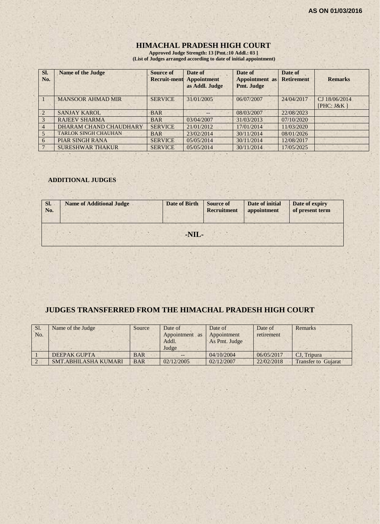# **HIMACHAL PRADESH HIGH COURT**

**Approved Judge Strength: 13 [Pmt.:10 Addl.: 03 ] (List of Judges arranged according to date of initial appointment)**

| Sl.<br>No.     | <b>Name of the Judge</b>    | Source of<br><b>Recruit-ment</b> | Date of<br><b>Appointment</b><br>as Addl. Judge | Date of<br>Appointment as<br>Pmt. Judge | Date of<br><b>Retirement</b> | <b>Remarks</b> |
|----------------|-----------------------------|----------------------------------|-------------------------------------------------|-----------------------------------------|------------------------------|----------------|
|                | <b>MANSOOR AHMAD MIR</b>    | <b>SERVICE</b>                   | 31/01/2005                                      | 06/07/2007                              | 24/04/2017                   | CJ 18/06/2014  |
|                |                             |                                  |                                                 |                                         |                              | [ $PHC: J&K$ ] |
| $\sqrt{2}$     | <b>SANJAY KAROL</b>         | <b>BAR</b>                       | $- -$                                           | 08/03/2007                              | 22/08/2023                   |                |
|                | <b>RAJEEV SHARMA</b>        | <b>BAR</b>                       | 03/04/2007                                      | 31/03/2013                              | 07/10/2020                   |                |
| $\overline{4}$ | DHARAM CHAND CHAUDHARY      | <b>SERVICE</b>                   | 21/01/2012                                      | 17/01/2014                              | 11/03/2020                   |                |
|                | <b>TARLOK SINGH CHAUHAN</b> | <b>BAR</b>                       | 23/02/2014                                      | 30/11/2014                              | 08/01/2026                   |                |
| 6              | <b>PIAR SINGH RANA</b>      | <b>SERVICE</b>                   | 05/05/2014                                      | 30/11/2014                              | 12/08/2017                   |                |
|                | <b>SURESHWAR THAKUR</b>     | <b>SERVICE</b>                   | 05/05/2014                                      | 30/11/2014                              | 17/05/2025                   |                |

#### **ADDITIONAL JUDGES**

| SI.<br>No. | <b>Name of Additional Judge</b> | <b>Date of Birth</b> | <b>Source of</b><br><b>Recruitment</b> | Date of initial<br>appointment | Date of expiry<br>of present term |
|------------|---------------------------------|----------------------|----------------------------------------|--------------------------------|-----------------------------------|
|            |                                 | -NIL-                |                                        |                                |                                   |

## **JUDGES TRANSFERRED FROM THE HIMACHAL PRADESH HIGH COURT**

| Sl.<br>No. | Name of the Judge   | Source     | Date of<br>Appointment as<br>Addl. | Date of<br>Appointment<br>As Pmt. Judge | Date of<br>retirement | <b>Remarks</b> |
|------------|---------------------|------------|------------------------------------|-----------------------------------------|-----------------------|----------------|
|            |                     |            | Judge                              |                                         |                       |                |
|            | <b>DEEPAK GUPTA</b> | <b>BAR</b> |                                    | 04/10/2004                              | 06/05/2017            | CJ. Tripura    |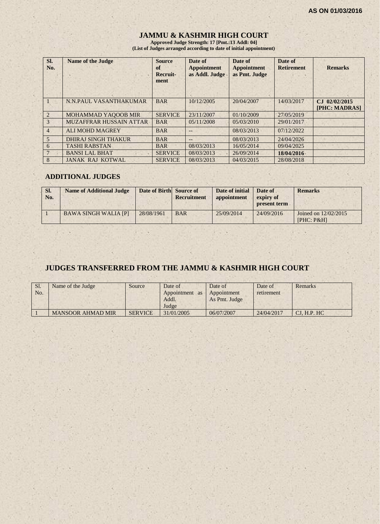# **JAMMU & KASHMIR HIGH COURT**

**Approved Judge Strength: 17 [Pmt.:13 Addl: 04] (List of Judges arranged according to date of initial appointment)**

| SI.<br>No.            | <b>Name of the Judge</b>   | <b>Source</b><br>of<br>Recruit-<br>ment | Date of<br><b>Appointment</b><br>as Addl. Judge | Date of<br><b>Appointment</b><br>as Pmt. Judge | Date of<br><b>Retirement</b> | <b>Remarks</b>                              |
|-----------------------|----------------------------|-----------------------------------------|-------------------------------------------------|------------------------------------------------|------------------------------|---------------------------------------------|
|                       | N.N.PAUL VASANTHAKUMAR     | <b>BAR</b>                              | 10/12/2005                                      | 20/04/2007                                     | 14/03/2017                   | 02/02/2015<br>$C_{\rm{L}}$<br>[PHC: MADRAS] |
| $\mathcal{D}_{\cdot}$ | <b>MOHAMMAD YAQOOB MIR</b> | <b>SERVICE</b>                          | 23/11/2007                                      | 01/10/2009                                     | 27/05/2019                   |                                             |
| 3                     | MUZAFFRAR HUSSAIN ATTAR    | <b>BAR</b>                              | 05/11/2008                                      | 05/03/2010                                     | 29/01/2017                   |                                             |
| $\overline{4}$        | <b>ALI MOHD MAGREY</b>     | <b>BAR</b>                              | $--$                                            | 08/03/2013                                     | 07/12/2022                   |                                             |
| 5                     | DHIRAJ SINGH THAKUR        | <b>BAR</b>                              | $- -$                                           | 08/03/2013                                     | 24/04/2026                   |                                             |
| 6                     | <b>TASHI RABSTAN</b>       | <b>BAR</b>                              | 08/03/2013                                      | 16/05/2014                                     | 09/04/2025                   |                                             |
|                       | <b>BANSI LAL BHAT</b>      | <b>SERVICE</b>                          | 08/03/2013                                      | 26/09/2014                                     | 18/04/2016                   |                                             |
| 8                     | <b>JANAK RAJ KOTWAL</b>    | <b>SERVICE</b>                          | 08/03/2013                                      | 04/03/2015                                     | 28/08/2018                   |                                             |

#### **ADDITIONAL JUDGES**

| SI.<br>No. | <b>Name of Additional Judge</b> | Date of Birth Source of | <b>Recruitment</b> | Date of initial<br>appointment | Date of<br>expiry of<br>present term | <b>Remarks</b>                     |
|------------|---------------------------------|-------------------------|--------------------|--------------------------------|--------------------------------------|------------------------------------|
|            | <b>BAWA SINGH WALIA [P]</b>     | 28/08/1961              | <b>BAR</b>         | 25/09/2014                     | 24/09/2016                           | Joined on 12/02/2015<br>[PHC: P&H] |

# **JUDGES TRANSFERRED FROM THE JAMMU & KASHMIR HIGH COURT**

| Sl.<br>No. | Name of the Judge        | Source         | Date of<br>Appointment as<br>Addl.<br>Judge | Date of<br>Appointment<br>As Pmt. Judge | Date of<br>retirement | Remarks      |
|------------|--------------------------|----------------|---------------------------------------------|-----------------------------------------|-----------------------|--------------|
|            | <b>MANSOOR AHMAD MIR</b> | <b>SERVICE</b> | 31/01/2005                                  | 06/07/2007                              | 24/04/2017            | CI. H.P. H C |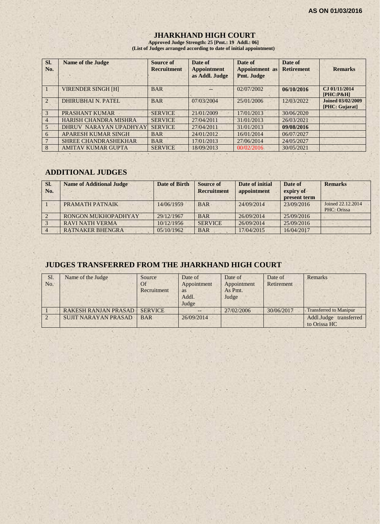## **JHARKHAND HIGH COURT**

**Approved Judge Strength: 25 [Pmt.: 19 Addl.: 06] (List of Judges arranged according to date of initial appointment)**

| SI.<br>No.            | <b>Name of the Judge</b>     | <b>Source of</b><br><b>Recruitment</b> | Date of<br><b>Appointment</b><br>as Addl. Judge | Date of<br>Appointment as<br><b>Pmt. Judge</b> | Date of<br><b>Retirement</b> | <b>Remarks</b>                             |
|-----------------------|------------------------------|----------------------------------------|-------------------------------------------------|------------------------------------------------|------------------------------|--------------------------------------------|
|                       | <b>VIRENDER SINGH [H]</b>    | <b>BAR</b>                             |                                                 | 02/07/2002                                     | 06/10/2016                   | CJ 01/11/2014<br>$[PHC: P\&H]$             |
| $\mathcal{D}_{\cdot}$ | DHIRUBHAI N. PATEL           | <b>BAR</b>                             | 07/03/2004                                      | 25/01/2006                                     | 12/03/2022                   | <b>Joined 03/02/2009</b><br>[PHC: Gujarat] |
| 3                     | PRASHANT KUMAR               | <b>SERVICE</b>                         | 21/01/2009                                      | 17/01/2013                                     | 30/06/2020                   |                                            |
| $\overline{4}$        | <b>HARISH CHANDRA MISHRA</b> | <b>SERVICE</b>                         | 27/04/2011                                      | 31/01/2013                                     | 26/03/2021                   |                                            |
| 5                     | DHRUV NARAYAN UPADHYAY       | <b>SERVICE</b>                         | 27/04/2011                                      | 31/01/2013                                     | 09/08/2016                   |                                            |
| 6                     | APARESH KUMAR SINGH          | <b>BAR</b>                             | 24/01/2012                                      | 16/01/2014                                     | 06/07/2027                   |                                            |
|                       | <b>SHREE CHANDRASHEKHAR</b>  | <b>BAR</b>                             | 17/01/2013                                      | 27/06/2014                                     | 24/05/2027                   |                                            |
| 8                     | <b>AMITAV KUMAR GUPTA</b>    | <b>SERVICE</b>                         | 18/09/2013                                      | 00/02/2016                                     | 30/05/2021                   |                                            |

## **ADDITIONAL JUDGES**

| SI.<br>No. | <b>Name of Additional Judge</b> | Date of Birth | Source of<br><b>Recruitment</b> | Date of initial<br>appointment | Date of<br>expiry of<br>present term | <b>Remarks</b>                   |
|------------|---------------------------------|---------------|---------------------------------|--------------------------------|--------------------------------------|----------------------------------|
|            | PRAMATH PATNAIK                 | 14/06/1959    | <b>BAR</b>                      | 24/09/2014                     | 23/09/2016                           | Joined 22.12.2014<br>PHC: Orissa |
|            | RONGON MUKHOPADHYAY             | 29/12/1967    | <b>BAR</b>                      | 26/09/2014                     | 25/09/2016                           |                                  |
|            | <b>RAVI NATH VERMA</b>          | 10/12/1956    | <b>SERVICE</b>                  | 26/09/2014                     | 25/09/2016                           |                                  |
|            | <b>RATNAKER BHENGRA</b>         | 05/10/1962    | <b>BAR</b>                      | 17/04/2015                     | 16/04/2017                           |                                  |

### **JUDGES TRANSFERRED FROM THE JHARKHAND HIGH COURT**

| Sl.<br>No. | Name of the Judge           | Source<br>Of<br>Recruitment | Date of<br>Appointment<br><b>as</b><br>Addl.<br>Judge | Date of<br>Appointment<br>As Pmt.<br>Judge | Date of<br>Retirement | Remarks                                |
|------------|-----------------------------|-----------------------------|-------------------------------------------------------|--------------------------------------------|-----------------------|----------------------------------------|
|            | <b>RAKESH RANJAN PRASAD</b> | <b>SERVICE</b>              | --                                                    | 27/02/2006                                 | 30/06/2017            | <b>Transferred to Manipur</b>          |
|            | <b>SUJIT NARAYAN PRASAD</b> | <b>BAR</b>                  | 26/09/2014                                            |                                            |                       | Addl.Judge transferred<br>to Orissa HC |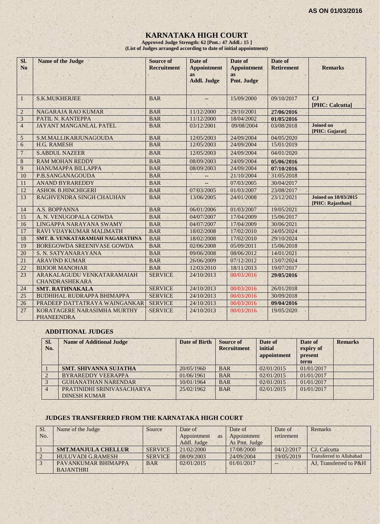# **KARNATAKA HIGH COURT**

**Approved Judge Strength: 62 [Pmt.: 47 Addl.: 15 ] (List of Judges arranged according to date of initial appointment)**

| SI.<br><b>No</b> | <b>Name of the Judge</b>                            | <b>Source of</b><br><b>Recruitment</b> | Date of<br><b>Appointment</b>   | Date of<br><b>Appointment</b> | Date of<br><b>Retirement</b> | <b>Remarks</b>                                  |
|------------------|-----------------------------------------------------|----------------------------------------|---------------------------------|-------------------------------|------------------------------|-------------------------------------------------|
|                  |                                                     |                                        | <b>as</b><br><b>Addl. Judge</b> | <b>as</b><br>Pmt. Judge       |                              |                                                 |
| $\mathbf{1}$     | <b>S.K.MUKHERJEE</b>                                | <b>BAR</b>                             |                                 | 15/09/2000                    | 09/10/2017                   | CJ<br>[PHC: Calcutta]                           |
| 2                | NAGARAJA RAO KUMAR                                  | <b>BAR</b>                             | 11/12/2000                      | 29/10/2001                    | 27/06/2016                   |                                                 |
| $\overline{3}$   | PATIL N. KANTEPPA                                   | <b>BAR</b>                             | 11/12/2000                      | 18/04/2002                    | 01/05/2016                   |                                                 |
| $\overline{4}$   | JAYANT MANGANLAL PATEL                              | <b>BAR</b>                             | 03/12/2001                      | 09/08/2004                    | 03/08/2018                   | <b>Joined on</b><br>[PHC: Gujarat]              |
| 5                | S.M.MALLIKARJUNAGOUDA                               | <b>BAR</b>                             | 12/05/2003                      | 24/09/2004                    | 04/05/2020                   |                                                 |
| 6                | H.G. RAMESH                                         | <b>BAR</b>                             | 12/05/2003                      | 24/09/2004                    | 15/01/2019                   |                                                 |
| $7\phantom{.0}$  | <b>S.ABDUL NAZEER</b>                               | <b>BAR</b>                             | 12/05/2003                      | 24/09/2004                    | 04/01/2020                   |                                                 |
| $\sqrt{8}$       | <b>RAM MOHAN REDDY</b>                              | <b>BAR</b>                             | 08/09/2003                      | 24/09/2004                    | 05/06/2016                   |                                                 |
| $\overline{9}$   | HANUMAPPA BILLAPPA                                  | <b>BAR</b>                             | 08/09/2003                      | 24/09/2004                    | 07/10/2016                   |                                                 |
| 10               | P.B.SANGANAGOUDA                                    | <b>BAR</b>                             |                                 | 21/10/2004                    | 31/05/2018                   |                                                 |
| 11               | <b>ANAND BYRAREDDY</b>                              | <b>BAR</b>                             |                                 | 07/03/2005                    | 30/04/2017                   |                                                 |
| 12               | <b>ASHOK B.HINCHIGERI</b>                           | <b>BAR</b>                             | 07/03/2005                      | 01/03/2007                    | 23/08/2017                   |                                                 |
| 13               | RAGHVENDRA SINGH CHAUHAN                            | <b>BAR</b>                             | 13/06/2005                      | 24/01/2008                    | 23/12/2021                   | <b>Joined on 10/03/2015</b><br>[PHC: Rajasthan] |
| 14               | A.S. BOPPANNA                                       | <b>BAR</b>                             | 06/01/2006                      | 01/03/2007                    | 19/05/2021                   |                                                 |
| 15               | A. N. VENUGOPALA GOWDA                              | <b>BAR</b>                             | 04/07/2007                      | 17/04/2009                    | 15/06/2017                   |                                                 |
| 16               | LINGAPPA NARAYANA SWAMY                             | <b>BAR</b>                             | 04/07/2007                      | 17/04/2009                    | 30/06/2021                   |                                                 |
| 17               | RAVI VIJAYKUMAR MALIMATH                            | <b>BAR</b>                             | 18/02/2008                      | 17/02/2010                    | 24/05/2024                   |                                                 |
| 18               | <b>SMT. B. VENKATARAMIAH NAGARATHNA</b>             | <b>BAR</b>                             | 18/02/2008                      | 17/02/2010                    | 29/10/2024                   |                                                 |
| 19               | <b>BOREGOWDA SREENIVASE GOWDA</b>                   | <b>BAR</b>                             | 02/06/2008                      | 05/09/2011                    | 15/06/2018                   |                                                 |
| 20               | S. N. SATYANARAYANA                                 | <b>BAR</b>                             | 09/06/2008                      | 08/06/2012                    | 14/01/2021                   |                                                 |
| 21               | <b>ARAVIND KUMAR</b>                                | <b>BAR</b>                             | 26/06/2009                      | 07/12/2012                    | 13/07/2024                   |                                                 |
| 22               | <b>BIJOOR MANOHAR</b>                               | <b>BAR</b>                             | 12/03/2010                      | 18/11/2013                    | 19/07/2017                   |                                                 |
| 23               | ARAKALAGUDU VENKATARAMAIAH<br><b>CHANDRASHEKARA</b> | <b>SERVICE</b>                         | 24/10/2013                      | 00/03/2016                    | 29/05/2016                   |                                                 |
| 24               | <b>SMT. RATHNAKALA</b>                              | <b>SERVICE</b>                         | 24/10/2013                      | 00/03/2016                    | 26/01/2018                   |                                                 |
| 25               | <b>BUDHIHAL RUDRAPPA BHIMAPPA</b>                   | <b>SERVICE</b>                         | 24/10/2013                      | 00/03/2016                    | 30/09/2018                   |                                                 |
| 26               | PRADEEP DATTATRAYA WAINGANKAR                       | <b>SERVICE</b>                         | 24/10/2013                      | 00/03/2016                    | 09/04/2016                   |                                                 |
| 27               | KORATAGERE NARASIMHA MURTHY<br><b>PHANEENDRA</b>    | <b>SERVICE</b>                         | 24/10/2013                      | 00/03/2016                    | 19/05/2020                   |                                                 |

#### **ADDITIONAL JUDGES**

| SI.<br>No.     | <b>Name of Additional Judge</b>                   | <b>Date of Birth</b> | Source of<br><b>Recruitment</b> | Date of<br>initial<br>appointment | Date of<br>expiry of<br>present<br>term | <b>Remarks</b> |
|----------------|---------------------------------------------------|----------------------|---------------------------------|-----------------------------------|-----------------------------------------|----------------|
|                | <b>SMT. SHIVANNA SUJATHA</b>                      | 20/05/1960           | <b>BAR</b>                      | 02/01/2015                        | 01/01/2017                              |                |
|                | <b>BYRAREDDY VEERAPPA</b>                         | 01/06/1961           | <b>BAR</b>                      | 02/01/2015                        | 01/01/2017                              |                |
|                | <b>GUHANATHAN NARENDAR</b>                        | 10/01/1964           | <b>BAR</b>                      | 02/01/2015                        | 01/01/2017                              |                |
| $\overline{4}$ | PRATINIDHI SRINIVASACHARYA<br><b>DINESH KUMAR</b> | 25/02/1962           | <b>BAR</b>                      | 02/01/2015                        | 01/01/2017                              |                |

#### **JUDGES TRANSFERRED FROM THE KARNATAKA HIGH COURT**

| Sl.            | Name of the Judge          | Source         | Date of                  | Date of       | Date of    | Remarks                         |
|----------------|----------------------------|----------------|--------------------------|---------------|------------|---------------------------------|
| N <sub>O</sub> |                            |                | Appointment<br><b>as</b> | Appointment   | retirement |                                 |
|                |                            |                | Addl. Judge              | As Pmt. Judge |            |                                 |
|                | <b>SMT.MANJULA CHELLUR</b> | <b>SERVICE</b> | 21/02/2000               | 17/08/2000    | 04/12/2017 | CJ. Calcutta                    |
|                | <b>HULUVADI G.RAMESH</b>   | <b>SERVICE</b> | 08/09/2003               | 24/09/2004    | 19/05/2019 | <b>Transferred to Allahabad</b> |
|                | PAVANKUMAR BHIMAPPA        | <b>BAR</b>     | 02/01/2015               | 01/01/2017    | $--$       | AJ. Transferred to P&H          |
|                | <b>BAJANTHRI</b>           |                |                          |               |            |                                 |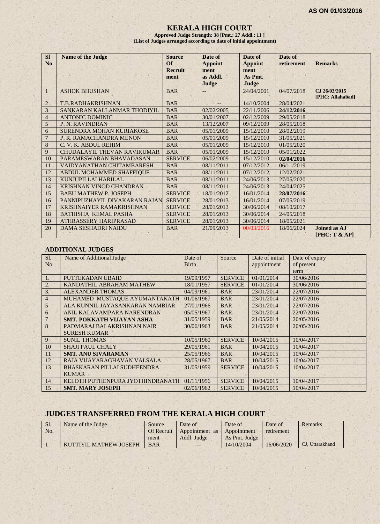#### **KERALA HIGH COURT**

**Approved Judge Strength: 38 [Pmt.: 27 Addl.: 11 ] (List of Judges arranged according to date of initial appointment)**

| <b>SI</b><br>No | <b>Name of the Judge</b>           | <b>Source</b><br>$\Omega$<br><b>Recruit</b><br>ment | Date of<br><b>Appoint</b><br>ment<br>as Addl.<br>Judge | Date of<br><b>Appoint</b><br>ment<br>As Pmt.<br>Judge | Date of<br>retirement | <b>Remarks</b>                     |
|-----------------|------------------------------------|-----------------------------------------------------|--------------------------------------------------------|-------------------------------------------------------|-----------------------|------------------------------------|
| -1              | <b>ASHOK BHUSHAN</b>               | <b>BAR</b>                                          |                                                        | 24/04/2001                                            | 04/07/2018            | CJ 26/03/2015<br>[PHC: Allahabad]  |
| $\overline{2}$  | T.B.RADHAKRISHNAN                  | <b>BAR</b>                                          | $-$                                                    | 14/10/2004                                            | 28/04/2021            |                                    |
| 3               | SANKARAN KALLANMAR THODIYIL        | <b>BAR</b>                                          | 02/02/2005                                             | 22/11/2006                                            | 24/12/2016            |                                    |
| $\overline{4}$  | <b>ANTONIC DOMINIC</b>             | <b>BAR</b>                                          | 30/01/2007                                             | 02/12/2009                                            | 29/05/2018            |                                    |
| 5               | P. N. RAVINDRAN                    | <b>BAR</b>                                          | 13/12/2007                                             | 09/12/2009                                            | 28/05/2018            |                                    |
| 6               | SURENDRA MOHAN KURIAKOSE           | <b>BAR</b>                                          | 05/01/2009                                             | 15/12/2010                                            | 28/02/2019            |                                    |
| 7               | P. R. RAMACHANDRA MENON            | <b>BAR</b>                                          | 05/01/2009                                             | 15/12/2010                                            | 31/05/2021            |                                    |
| 8               | C. V. K. ABDUL REHIM               | <b>BAR</b>                                          | 05/01/2009                                             | 15/12/2010                                            | 01/05/2020            |                                    |
| 9               | <b>CHUDALAYIL THEVAN RAVIKUMAR</b> | <b>BAR</b>                                          | 05/01/2009                                             | 15/12/2010                                            | 05/01/2022            |                                    |
| 10              | PARAMESWARAN BHAVADASAN            | <b>SERVICE</b>                                      | 06/02/2009                                             | 15/12/2010                                            | 02/04/2016            |                                    |
| 11              | <b>VAIDYANATHAN CHITAMBARESH</b>   | <b>BAR</b>                                          | 08/11/2011                                             | 07/12/2012                                            | 06/11/2019            |                                    |
| 12              | ABDUL MOHAMMED SHAFFIQUE           | <b>BAR</b>                                          | 08/11/2011                                             | 07/12/2012                                            | 12/02/2021            |                                    |
| 13              | <b>KUNJUPILLAI HARILAL</b>         | <b>BAR</b>                                          | 08/11/2011                                             | 24/06/2013                                            | 27/05/2020            |                                    |
| 14              | <b>KRISHNAN VINOD CHANDRAN</b>     | <b>BAR</b>                                          | 08/11/2011                                             | 24/06/2013                                            | 24/04/2025            |                                    |
| 15              | <b>BABU MATHEW P. JOSEPH</b>       | <b>SERVICE</b>                                      | 18/01/2012                                             | 16/01/2014                                            | 28/07/2016            |                                    |
| 16              | PANNIPUZHAYIL DIVAKARAN RAJAN      | <b>SERVICE</b>                                      | 28/01/2013                                             | 16/01/2014                                            | 07/05/2019            |                                    |
| 17              | <b>KRISHNAIYER RAMAKRISHNAN</b>    | <b>SERVICE</b>                                      | 28/01/2013                                             | 30/06/2014                                            | 08/10/2017            |                                    |
| 18              | <b>BATHISHA KEMAL PASHA</b>        | <b>SERVICE</b>                                      | 28/01/2013                                             | 30/06/2014                                            | 24/05/2018            |                                    |
| 19              | <b>ATHRASSERY HARIPRASAD</b>       | <b>SERVICE</b>                                      | 28/01/2013                                             | 30/06/2014                                            | 18/05/2021            |                                    |
| 20              | <b>DAMA SESHADRI NAIDU</b>         | <b>BAR</b>                                          | 21/09/2013                                             | 00/03/2016                                            | 18/06/2024            | <b>Joined as AJ</b><br>[PHC: T & A |

#### **ADDITIONAL JUDGES**

| Sl.            | Name of Additional Judge           | Date of      | Source         | Date of initial | Date of expiry |  |
|----------------|------------------------------------|--------------|----------------|-----------------|----------------|--|
| No.            |                                    | <b>Birth</b> |                | appointment     | of present     |  |
|                |                                    |              |                |                 | term           |  |
| 1.             | PUTTEKADAN UBAID                   | 19/09/1957   | <b>SERVICE</b> | 01/01/2014      | 30/06/2016     |  |
| 2.             | KANDATHIL ABRAHAM MATHEW           | 18/01/1957   | <b>SERVICE</b> | 01/01/2014      | 30/06/2016     |  |
| 3.             | <b>ALEXANDER THOMAS</b>            | 04/09/1961   | <b>BAR</b>     | 23/01/2014      | 22/07/2016     |  |
| $\overline{4}$ | MUHAMED MUSTAQUE AYUMANTAKATH      | 01/06/1967   | <b>BAR</b>     | 23/01/2014      | 22/07/2016     |  |
| 5              | ALA KUNNIL JAYASANKARAN NAMBIAR    | 27/01/1966   | <b>BAR</b>     | 23/01/2014      | 22/07/2016     |  |
| 6              | ANIL KALAVAMPARA NARENDRAN         | 05/05/1967   | <b>BAR</b>     | 23/01/2014      | 22/07/2016     |  |
| $\overline{7}$ | <b>SMT. POKKATH VIJAYAN ASHA</b>   | 31/05/1959   | <b>BAR</b>     | 21/05/2014      | 20/05/2016     |  |
| 8              | PADMARAJ BALAKRISHNAN NAIR         | 30/06/1963   | <b>BAR</b>     | 21/05/2014      | 20/05/2016     |  |
|                | <b>SURESH KUMAR</b>                |              |                |                 |                |  |
| 9              | <b>SUNIL THOMAS</b>                | 10/05/1960   | <b>SERVICE</b> | 10/04/2015      | 10/04/2017     |  |
| 10             | <b>SHAJI PAUL CHALY</b>            | 29/05/1961   | <b>BAR</b>     | 10/04/2015      | 10/04/2017     |  |
| 11             | <b>SMT. ANU SIVARAMAN</b>          | 25/05/1966   | <b>BAR</b>     | 10/04/2015      | 10/04/2017     |  |
| 12             | RAJA VIJAYARAGHAVAN VALSALA        | 28/05/1967   | <b>BAR</b>     | 10/04/2015      | 10/04/2017     |  |
| 13             | <b>BHASKARAN PILLAI SUDHEENDRA</b> | 31/05/1959   | <b>SERVICE</b> | 10/04/2015      | 10/04/2017     |  |
|                | <b>KUMAR</b>                       |              |                |                 |                |  |
| 14             | KELOTH PUTHENPURA JYOTHINDRANATH   | 01/11/1956   | <b>SERVICE</b> | 10/04/2015      | 10/04/2017     |  |
| 15             | <b>SMT. MARY JOSEPH</b>            | 02/06/1962   | <b>SERVICE</b> | 10/04/2015      | 10/04/2017     |  |

# **JUDGES TRANSFERRED FROM THE KERALA HIGH COURT**

| Sl. | Name of the Judge      | Source            | Date of        | Date of       | Date of    | Remarks         |
|-----|------------------------|-------------------|----------------|---------------|------------|-----------------|
| No. |                        | <b>Of Recruit</b> | Appointment as | Appointment   | retirement |                 |
|     |                        | ment              | Addl. Judge    | As Pmt. Judge |            |                 |
|     | KUTTIYIL MATHEW JOSEPH | <b>BAR</b>        | $- -$          | 14/10/2004    | 16/06/2020 | CJ. Uttarakhand |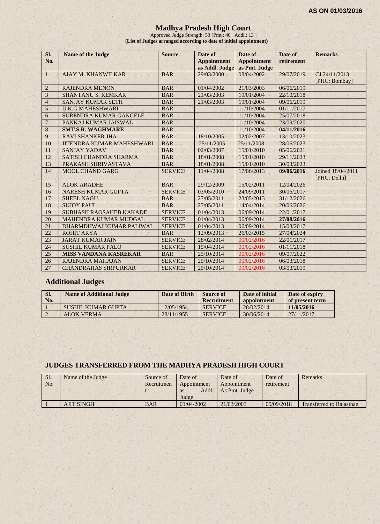#### **Madhya Pradesh High Court**

Approved Judge Strength: 53 [Pmt.: 40 Addl.: 13 ] **(List of Judges arranged according to date of initial appointment)**

| Sl.<br>No.     | <b>Name of the Judge</b>         | <b>Source</b>  | Date of<br><b>Appointment</b><br>as Addl. Judge | Date of<br><b>Appointment</b><br>as Pmt. Judge | Date of<br>retirement | <b>Remarks</b>                    |
|----------------|----------------------------------|----------------|-------------------------------------------------|------------------------------------------------|-----------------------|-----------------------------------|
| 1              | <b>AJAY M. KHANWILKAR</b>        | <b>BAR</b>     | 29/03/2000                                      | 08/04/2002                                     | 29/07/2019            | CJ 24/11/2013<br>[PHC: Bombay]    |
| $\overline{2}$ | <b>RAJENDRA MENON</b>            | <b>BAR</b>     | 01/04/2002                                      | 21/03/2003                                     | 06/06/2019            |                                   |
| 3              | <b>SHANTANU S. KEMKAR</b>        | <b>BAR</b>     | 21/03/2003                                      | 19/01/2004                                     | 22/10/2018            |                                   |
| $\overline{4}$ | <b>SANJAY KUMAR SETH</b>         | <b>BAR</b>     | 21/03/2003                                      | 19/01/2004                                     | 09/06/2019            |                                   |
| $\overline{5}$ | <b>U.K.G.MAHESHWARI</b>          | <b>BAR</b>     |                                                 | 11/10/2004                                     | 01/11/2017            |                                   |
| 6              | <b>SURENDRA KUMAR GANGELE</b>    | <b>BAR</b>     | $-$                                             | 11/10/2004                                     | 25/07/2018            |                                   |
| $\overline{7}$ | PANKAJ KUMAR JAISWAL             | <b>BAR</b>     | --                                              | 11/10/2004                                     | 23/09/2020            |                                   |
| 8              | <b>SMT.S.R. WAGHMARE</b>         | <b>BAR</b>     |                                                 | 11/10/2004                                     | 04/11/2016            |                                   |
| 9              | <b>RAVI SHANKER JHA</b>          | <b>BAR</b>     | 18/10/2005                                      | 02/02/2007                                     | 13/10/2023            |                                   |
| 10             | <b>JITENDRA KUMAR MAHESHWARI</b> | <b>BAR</b>     | 25/11/2005                                      | 25/11/2008                                     | 28/06/2023            |                                   |
| 11             | <b>SANJAY YADAV</b>              | <b>BAR</b>     | 02/03/2007                                      | 15/01/2010                                     | 05/06/2021            |                                   |
| 12             | <b>SATISH CHANDRA SHARMA</b>     | <b>BAR</b>     | 18/01/2008                                      | 15/01/2010                                     | 29/11/2023            |                                   |
| 13             | PRAKASH SHRIVASTAVA              | <b>BAR</b>     | 18/01/2008                                      | 15/01/2010                                     | 30/03/2023            |                                   |
| 14             | <b>MOOL CHAND GARG</b>           | <b>SERVICE</b> | 11/04/2008                                      | 17/06/2013                                     | 09/06/2016            | Joined 18/04/2011<br>[PHC: Delhi] |
| 15             | <b>ALOK ARADHE</b>               | <b>BAR</b>     | 29/12/2009                                      | 15/02/2011                                     | 12/04/2026            |                                   |
| 16             | <b>NARESH KUMAR GUPTA</b>        | <b>SERVICE</b> | 03/05/2010                                      | 24/09/2011                                     | 30/06/2017            |                                   |
| 17             | <b>SHEEL NAGU</b>                | <b>BAR</b>     | 27/05/2011                                      | 23/05/2013                                     | 31/12/2026            |                                   |
| 18             | <b>SUJOY PAUL</b>                | <b>BAR</b>     | 27/05/2011                                      | 14/04/2014                                     | 20/06/2026            |                                   |
| 19             | <b>SUBHASH RAOSAHEB KAKADE</b>   | <b>SERVICE</b> | 01/04/2013                                      | 06/09/2014                                     | 22/01/2017            |                                   |
| 20             | <b>MAHENDRA KUMAR MUDGAL</b>     | <b>SERVICE</b> | 01/04/2013                                      | 06/09/2014                                     | 27/08/2016            |                                   |
| 21             | DHARMDHWAJ KUMAR PALIWAL         | <b>SERVICE</b> | 01/04/2013                                      | 06/09/2014                                     | 15/03/2017            |                                   |
| 22             | <b>ROHIT ARYA</b>                | <b>BAR</b>     | 12/09/2013                                      | 26/03/2015                                     | 27/04/2024            |                                   |
| 23             | <b>JARAT KUMAR JAIN</b>          | <b>SERVICE</b> | 28/02/2014                                      | 00/02/2016                                     | 22/01/2017            |                                   |
| 24             | <b>SUSHIL KUMAR PALO</b>         | <b>SERVICE</b> | 15/04/2014                                      | 00/02/2016                                     | 01/11/2018            |                                   |
| 25             | <b>MISS VANDANA KASREKAR</b>     | <b>BAR</b>     | 25/10/2014                                      | 00/02/2016                                     | 09/07/2022            |                                   |
| 26             | <b>RAJENDRA MAHAJAN</b>          | <b>SERVICE</b> | 25/10/2014                                      | 00/02/2016                                     | 06/03/2018            |                                   |
| 27             | <b>CHANDRAHAS SIRPURKAR</b>      | <b>SERVICE</b> | 25/10/2014                                      | 00/02/2016                                     | 03/03/2019            |                                   |

# **Additional Judges**

| SI.<br>No. | <b>Name of Additional Judge</b> | Date of Birth | Source of<br>Recruitment | Date of initial<br>appointment | Date of expiry<br>of present term |
|------------|---------------------------------|---------------|--------------------------|--------------------------------|-----------------------------------|
|            | SUSHIL KUMAR GUPTA              | 12/05/1954    | <b>SERVICE</b>           | 28/02/2014                     | 11/05/2016                        |
|            | ALOK VERMA                      | 28/11/1955    | <b>SERVICE</b>           | 30/06/2014                     | 27/11/2017                        |

#### **JUDGES TRANSFERRED FROM THE MADHYA PRADESH HIGH COURT**

| Sl. | Name of the Judge | Source of  | Date of     | Date of       | Date of    | Remarks                         |
|-----|-------------------|------------|-------------|---------------|------------|---------------------------------|
| No. |                   | Recruitmen | Appointment | Appointment   | retirement |                                 |
|     |                   |            | Addl.<br>as | As Pmt. Judge |            |                                 |
|     |                   |            | Judge       |               |            |                                 |
|     | <b>AJIT SINGH</b> | <b>BAR</b> | 01/04/2002  | 21/03/2003    | 05/09/2018 | <b>Transferred to Rajasthan</b> |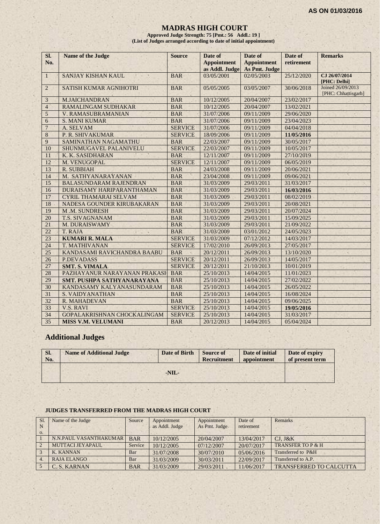#### **MADRAS HIGH COURT**

**Approved Judge Strength: 75 [Pmt.: 56 Addl.: 19 ] (List of Judges arranged according to date of initial appointment)**

| SI.<br>No.      | <b>Name of the Judge</b>      | <b>Source</b>  | Date of<br><b>Appointment</b><br>as Addl. Judge | Date of<br><b>Appointment</b><br>As Pmt. Judge | Date of<br>retirement | <b>Remarks</b>                           |
|-----------------|-------------------------------|----------------|-------------------------------------------------|------------------------------------------------|-----------------------|------------------------------------------|
| $\mathbf{1}$    | SANJAY KISHAN KAUL            | <b>BAR</b>     | 03/05/2001                                      | 02/05/2003                                     | 25/12/2020            | CJ 26/07/2014<br>[PHC: Delhi]            |
| $\overline{2}$  | <b>SATISH KUMAR AGNIHOTRI</b> | <b>BAR</b>     | 05/05/2005                                      | 03/05/2007                                     | 30/06/2018            | Joined 26/09/2013<br>[PHC: Chhattisgarh] |
| 3               | <b>M.JAICHANDRAN</b>          | <b>BAR</b>     | 10/12/2005                                      | 20/04/2007                                     | 23/02/2017            |                                          |
| $\overline{4}$  | RAMALINGAM SUDHAKAR           | <b>BAR</b>     | 10/12/2005                                      | 20/04/2007                                     | 13/02/2021            |                                          |
| 5               | V. RAMASUBRAMANIAN            | <b>BAR</b>     | 31/07/2006                                      | 09/11/2009                                     | 29/06/2020            |                                          |
| 6               | <b>S. MANI KUMAR</b>          | <b>BAR</b>     | 31/07/2006                                      | 09/11/2009                                     | 23/04/2023            |                                          |
| $\overline{7}$  | A. SELVAM                     | <b>SERVICE</b> | 31/07/2006                                      | 09/11/2009                                     | 04/04/2018            |                                          |
| $8\phantom{1}$  | P. R. SHIVAKUMAR              | <b>SERVICE</b> | 18/09/2006                                      | 09/11/2009                                     | 11/05/2016            |                                          |
| 9               | <b>SAMINATHAN NAGAMATHU</b>   | <b>BAR</b>     | 22/03/2007                                      | 09/11/2009                                     | 30/05/2017            |                                          |
| 10              | SHUNMUGAVEL PALANIVELU        | <b>SERVICE</b> | 22/03/2007                                      | 09/11/2009                                     | 10/05/2017            |                                          |
| 11              | K. K. SASIDHARAN              | <b>BAR</b>     | 12/11/2007                                      | 09/11/2009                                     | 27/10/2019            |                                          |
| 12              | M. VENUGOPAL                  | <b>SERVICE</b> | 12/11/2007                                      | 09/11/2009                                     | 06/05/2019            |                                          |
| 13              | <b>R. SUBBIAH</b>             | <b>BAR</b>     | 24/03/2008                                      | 09/11/2009                                     | 20/06/2021            |                                          |
| 14              | M. SATHYANARAYANAN            | <b>BAR</b>     | 23/04/2008                                      | 09/11/2009                                     | 09/06/2021            |                                          |
| 15              | <b>BALASUNDARAM RAJENDRAN</b> | <b>BAR</b>     | 31/03/2009                                      | 29/03/2011                                     | 31/03/2017            |                                          |
| 16              | DURAISAMY HARIPARANTHAMAN     | <b>BAR</b>     | 31/03/2009                                      | 29/03/2011                                     | 16/03/2016            |                                          |
| 17              | <b>CYRIL THAMARAI SELVAM</b>  | <b>BAR</b>     | 31/03/2009                                      | 29/03/2011                                     | 08/02/2019            |                                          |
| 18              | NADESA GOUNDER KIRUBAKARAN    | <b>BAR</b>     | 31/03/2009                                      | 29/03/2011                                     | 20/08/2021            |                                          |
| 19              | M.M. SUNDRESH                 | <b>BAR</b>     | 31/03/2009                                      | 29/03/2011                                     | 20/07/2024            |                                          |
| 20              | <b>T.S. SIVAGNANAM</b>        | <b>BAR</b>     | 31/03/2009                                      | 29/03/2011                                     | 15/09/2025            |                                          |
| 21              | M. DURAISWAMY                 | <b>BAR</b>     | 31/03/2009                                      | 29/03/2011                                     | 21/09/2022            |                                          |
| 22              | T. RAJA                       | <b>BAR</b>     | 31/03/2009                                      | 03/01/2012                                     | 24/05/2023            |                                          |
| 23              | <b>KUMARI R. MALA</b>         | <b>SERVICE</b> | 31/03/2009                                      | 07/12/2012                                     | 14/03/2017            |                                          |
| 24              | T. MATHIVANAN                 | <b>SERVICE</b> | 17/02/2010                                      | 26/09/2013                                     | 27/05/2017            |                                          |
| 25              | KANDASAMI RAVICHANDRA BAABU   | <b>BAR</b>     | 20/12/2011                                      | 26/09/2013                                     | 13/10/2020            |                                          |
| 26              | <b>P.DEVADASS</b>             | <b>SERVICE</b> | 20/12/2011                                      | 26/09/2013                                     | 14/05/2017            |                                          |
| 27              | <b>SMT. S. VIMALA</b>         | <b>SERVICE</b> | 20/12/2011                                      | 21/10/2013                                     | 10/01/2019            |                                          |
| 28              | PAZHAYANUR NARAYANAN PRAKASH  | <b>BAR</b>     | 25/10/2013                                      | 14/04/2015                                     | 11/01/2023            |                                          |
| 29              | SMT. PUSHPA SATHYANARAYANA    | <b>BAR</b>     | 25/10/2013                                      | 14/04/2015                                     | 27/02/2022            |                                          |
| $\overline{30}$ | KANDASAMY KALYANASUNDARAM     | <b>BAR</b>     | 25/10/2013                                      | 14/04/2015                                     | 26/05/2022            |                                          |
| 31              | S. VAIDYANATHAN               | <b>BAR</b>     | 25/10/2013                                      | 14/04/2015                                     | 16/08/2024            |                                          |
| 32              | R. MAHADEVAN                  | <b>BAR</b>     | 25/10/2013                                      | 14/04/2015                                     | 09/06/2025            |                                          |
| 33              | <b>V.S. RAVI</b>              | <b>SERVICE</b> | 25/10/2013                                      | 14/04/2015                                     | 19/05/2016            |                                          |
| 34              | GOPALAKRISHNAN CHOCKALINGAM   | <b>SERVICE</b> | 25/10/2013                                      | 14/04/2015                                     | 31/03/2017            |                                          |
| 35              | <b>MISS V.M. VELUMANI</b>     | <b>BAR</b>     | 20/12/2013                                      | 14/04/2015                                     | 05/04/2024            |                                          |

# **Additional Judges**

(六) 全

| SI.<br>No. | <b>Name of Additional Judge</b> | Date of Birth | <b>Source of</b><br>Recruitment | Date of initial<br>appointment | Date of expiry<br>of present term |
|------------|---------------------------------|---------------|---------------------------------|--------------------------------|-----------------------------------|
|            |                                 | $-NIL-$       |                                 |                                |                                   |

#### **JUDGES TRANSFERRED FROM THE MADRAS HIGH COURT**

| S1. | Name of the Judge      | Source     | Appointment    | Appointment    | Date of    | <b>Remarks</b>                 |
|-----|------------------------|------------|----------------|----------------|------------|--------------------------------|
|     |                        |            | as Addl. Judge | As Pmt. Judge. | retirement |                                |
| 0.  |                        |            |                |                |            |                                |
|     | N.N.PAUL VASANTHAKUMAR | <b>BAR</b> | 10/12/2005     | 20/04/2007     | 13/04/2017 | $CJ.$ $J&K$                    |
|     | MUTTACLIEYAPAUL        | Service    | 10/12/2005     | 07/12/2007     | 20/07/2017 | TRANSFER TO P & H              |
|     | <b>K. KANNAN</b>       | Bar        | 31/07/2008     | 30/07/2010     | 05/06/2016 | Transferred to P&H             |
|     | <b>RAJA ELANGO</b>     | Bar        | 31/03/2009     | 30/03/2011     | 22/09/2017 | Transferred to A.P.            |
|     | C. S. KARNAN           | <b>BAR</b> | 31/03/2009     | 29/03/2011     | 11/06/2017 | <b>TRANSFERRED TO CALCUTTA</b> |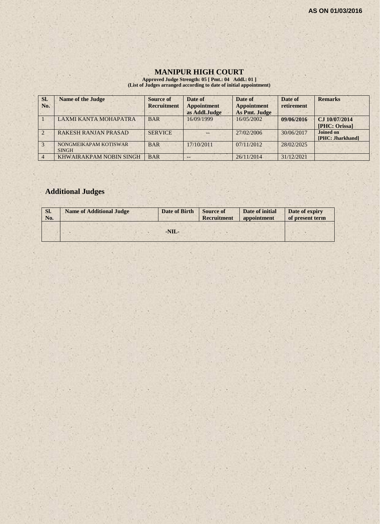# **MANIPUR HIGH COURT**

**Approved Judge Strength: 05 [ Pmt.: 04 Addl.: 01 ] (List of Judges arranged according to date of initial appointment)**

| SI.<br>No.    | <b>Name of the Judge</b>              | <b>Source of</b><br><b>Recruitment</b> | Date of<br><b>Appointment</b><br>as Addl.Judge | Date of<br><b>Appointment</b><br>As Pmt. Judge | Date of<br>retirement | <b>Remarks</b>                       |
|---------------|---------------------------------------|----------------------------------------|------------------------------------------------|------------------------------------------------|-----------------------|--------------------------------------|
|               | <b>LAXMI KANTA MOHAPATRA</b>          | <b>BAR</b>                             | 16/09/1999                                     | 16/05/2002                                     | 09/06/2016            | CJ 10/07/2014<br>[PHC: Orissa]       |
|               | <b>RAKESH RANJAN PRASAD</b>           | <b>SERVICE</b>                         |                                                | 27/02/2006                                     | 30/06/2017            | <b>Joined on</b><br>[PHC: Jharkhand] |
| $\mathcal{R}$ | NONGMEIKAPAM KOTISWAR<br><b>SINGH</b> | <b>BAR</b>                             | 17/10/2011                                     | 07/11/2012                                     | 28/02/2025            |                                      |
|               | KHWAIRAKPAM NOBIN SINGH               | <b>BAR</b>                             |                                                | 26/11/2014                                     | 31/12/2021            |                                      |

# **Additional Judges**

| SI.<br>No. | <b>Name of Additional Judge</b> | Date of Birth | <b>Source of</b><br>Recruitment | Date of initial<br>appointment | Date of expiry<br>of present term |
|------------|---------------------------------|---------------|---------------------------------|--------------------------------|-----------------------------------|
|            |                                 |               |                                 |                                |                                   |
|            |                                 | $-NIL-$       |                                 |                                |                                   |
|            |                                 |               |                                 |                                |                                   |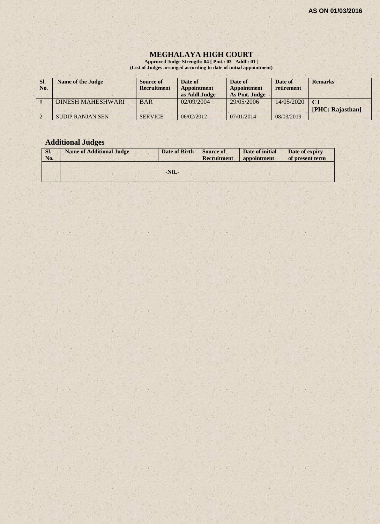### **MEGHALAYA HIGH COURT**

**Approved Judge Strength: 04 [ Pmt.: 03 Addl.: 01 ] (List of Judges arranged according to date of initial appointment)**

| SI.<br>No. | <b>Name of the Judge</b> | Source of<br><b>Recruitment</b> | Date of<br><b>Appointment</b><br>as Addl.Judge | Date of<br><b>Appointment</b><br>As Pmt. Judge | Date of<br>retirement | <b>Remarks</b>   |
|------------|--------------------------|---------------------------------|------------------------------------------------|------------------------------------------------|-----------------------|------------------|
|            | <b>DINESH MAHESHWARI</b> | <b>BAR</b>                      | 02/09/2004                                     | 29/05/2006                                     | 14/05/2020            | $C_{\rm J}$      |
|            |                          |                                 |                                                |                                                |                       | [PHC: Rajasthan] |
|            | <b>SUDIP RANJAN SEN</b>  | <b>SERVICE</b>                  | 06/02/2012                                     | 07/01/2014                                     | 08/03/2019            |                  |

# **Additional Judges**

| Sl.<br>No. | <b>Name of Additional Judge</b> | Date of Birth | <b>Source of</b><br><b>Recruitment</b> | Date of initial<br>appointment | Date of expiry<br>of present term |
|------------|---------------------------------|---------------|----------------------------------------|--------------------------------|-----------------------------------|
|            |                                 | $-NIL-$       |                                        |                                |                                   |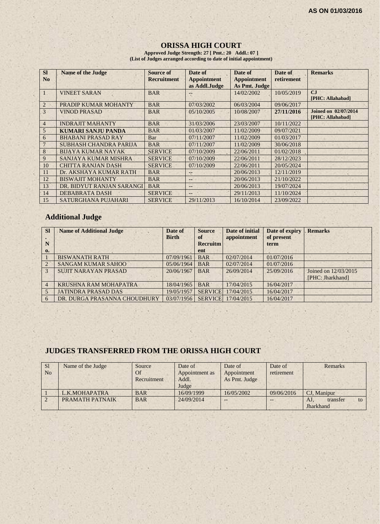### **ORISSA HIGH COURT**

**Approved Judge Strength: 27 [ Pmt.: 20 Addl.: 07 ] (List of Judges arranged according to date of initial appointment)**

| <b>SI</b>    | <b>Name of the Judge</b>      | <b>Source of</b>   | Date of            | Date of            | Date of    | <b>Remarks</b>              |
|--------------|-------------------------------|--------------------|--------------------|--------------------|------------|-----------------------------|
| No           |                               | <b>Recruitment</b> | <b>Appointment</b> | <b>Appointment</b> | retirement |                             |
|              |                               |                    | as Addl.Judge      | As Pmt. Judge      |            |                             |
| $\mathbf{I}$ | <b>VINEET SARAN</b>           | <b>BAR</b>         |                    | 14/02/2002         | 10/05/2019 | C <sub>I</sub>              |
|              |                               |                    |                    |                    |            | [PHC: Allahabad]            |
| 2            | PRADIP KUMAR MOHANTY          | <b>BAR</b>         | 07/03/2002         | 06/03/2004         | 09/06/2017 |                             |
| 3            | <b>VINOD PRASAD</b>           | <b>BAR</b>         | 05/10/2005         | 10/08/2007         | 27/11/2016 | <b>Joined on 02/07/2014</b> |
|              |                               |                    |                    |                    |            | [PHC: Allahabad]            |
| 4            | <b>INDRAJIT MAHANTY</b>       | <b>BAR</b>         | 31/03/2006         | 23/03/2007         | 10/11/2022 |                             |
| 5            | <b>KUMARI SANJU PANDA</b>     | <b>BAR</b>         | 01/03/2007         | 11/02/2009         | 09/07/2021 |                             |
| 6            | <b>BHABANI PRASAD RAY</b>     | Bar                | 07/11/2007         | 11/02/2009         | 01/03/2017 |                             |
|              | <b>SUBHASH CHANDRA PARIJA</b> | <b>BAR</b>         | 07/11/2007         | 11/02/2009         | 30/06/2018 |                             |
| 8            | <b>BUAYA KUMAR NAYAK</b>      | <b>SERVICE</b>     | 07/10/2009         | 22/06/2011         | 01/02/2018 |                             |
| 9            | SANJAYA KUMAR MISHRA          | <b>SERVICE</b>     | 07/10/2009         | 22/06/2011         | 28/12/2023 |                             |
| 10           | <b>CHITTA RANJAN DASH</b>     | <b>SERVICE</b>     | 07/10/2009         | 22/06/2011         | 20/05/2024 |                             |
| -11          | Dr. AKSHAYA KUMAR RATH        | <b>BAR</b>         | --                 | 20/06/2013         | 12/11/2019 |                             |
| 12           | <b>BISWAJIT MOHANTY</b>       | <b>BAR</b>         | $\qquad \qquad -$  | 20/06/2013         | 21/10/2022 |                             |
| 13           | DR. BIDYUT RANJAN SARANGI     | <b>BAR</b>         | $-$                | 20/06/2013         | 19/07/2024 |                             |
| 14           | DEBABRATA DASH                | <b>SERVICE</b>     | $-$                | 29/11/2013         | 11/10/2024 |                             |
| 15           | SATURGHANA PUJAHARI           | <b>SERVICE</b>     | 29/11/2013         | 16/10/2014         | 23/09/2022 |                             |

# **Additional Judge**

| <b>Sl</b><br>N<br>0. | <b>Name of Additional Judge</b> | Date of<br><b>Birth</b> | <b>Source</b><br>of<br><b>Recruitm</b><br>ent | Date of initial<br>appointment | Date of expiry<br>of present<br>term | <b>Remarks</b>       |
|----------------------|---------------------------------|-------------------------|-----------------------------------------------|--------------------------------|--------------------------------------|----------------------|
|                      | <b>BISWANATH RATH</b>           | 07/09/1961              | <b>BAR</b>                                    | 02/07/2014                     | 01/07/2016                           |                      |
| $\overline{2}$       | <b>SANGAM KUMAR SAHOO</b>       | 05/06/1964              | <b>BAR</b>                                    | 02/07/2014                     | 01/07/2016                           |                      |
| $\mathcal{R}$        | <b>SUJIT NARAYAN PRASAD</b>     | 20/06/1967              | <b>BAR</b>                                    | 26/09/2014                     | 25/09/2016                           | Joined on 12/03/2015 |
|                      |                                 |                         |                                               |                                |                                      | [PHC: Jharkhand]     |
| $\overline{4}$       | KRUSHNA RAM MOHAPATRA           | 18/04/1965              | <b>BAR</b>                                    | 17/04/2015                     | 16/04/2017                           |                      |
|                      | <b>JATINDRA PRASAD DAS</b>      | 19/05/1957              | <b>SERVICE</b>                                | 17/04/2015                     | 16/04/2017                           |                      |
| 6                    | DR. DURGA PRASANNA CHOUDHURY    | 03/07/1956              | <b>SERVICE</b>                                | 17/04/2015                     | 16/04/2017                           |                      |

# **JUDGES TRANSFERRED FROM THE ORISSA HIGH COURT**

| <sub>S1</sub>  | Name of the Judge | Source      | Date of        | Date of       | Date of    | Remarks               |
|----------------|-------------------|-------------|----------------|---------------|------------|-----------------------|
| N <sub>0</sub> |                   | <b>Of</b>   | Appointment as | Appointment   | retirement |                       |
|                |                   | Recruitment | Addl.          | As Pmt. Judge |            |                       |
|                |                   |             | Judge          |               |            |                       |
|                | L.K.MOHAPATRA     | <b>BAR</b>  | 16/09/1999     | 16/05/2002    | 09/06/2016 | CJ. Manipur           |
|                | PRAMATH PATNAIK   | <b>BAR</b>  | 24/09/2014     | $-$           |            | AJ.<br>transfer<br>to |
|                |                   |             |                |               |            | Jharkhand             |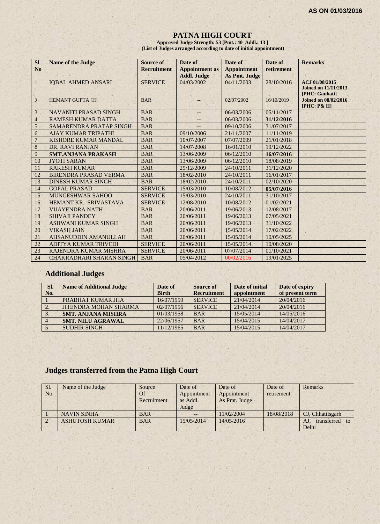#### **PATNA HIGH COURT**

**Approved Judge Strength: 53 [Pmt.: 40 Addl.: 13 ] (List of Judges arranged according to date of initial appointment)**

| <b>SI</b>      | <b>Name of the Judge</b>        | Source of          | Date of               | Date of            | Date of    | <b>Remarks</b>                                                  |
|----------------|---------------------------------|--------------------|-----------------------|--------------------|------------|-----------------------------------------------------------------|
| N <sub>o</sub> |                                 | <b>Recruitment</b> | <b>Appointment</b> as | <b>Appointment</b> | retirement |                                                                 |
|                |                                 |                    | <b>Addl. Judge</b>    | As Pmt. Judge      |            |                                                                 |
| $\mathbf{1}$   | <b>IQBAL AHMED ANSARI</b>       | <b>SERVICE</b>     | 04/03/2002            | 04/11/2003         | 28/10/2016 | ACJ 01/08/2015<br><b>Joined on 11/11/2013</b><br>[PHC: Gauhati] |
| $\overline{2}$ | <b>HEMANT GUPTA [H]</b>         | <b>BAR</b>         |                       | 02/07/2002         | 16/10/2019 | <b>Joined on 08/02/2016</b><br>[PHC: P& H]                      |
| 3              | <b>NAVANITI PRASAD SINGH</b>    | <b>BAR</b>         | --                    | 06/03/2006         | 05/11/2017 |                                                                 |
| $\overline{4}$ | RAMESH KUMAR DATTA              | <b>BAR</b>         |                       | 06/03/2006         | 31/12/2016 |                                                                 |
| 5              | SAMARENDRA PRATAP SINGH         | <b>BAR</b>         |                       | 09/10/2006         | 31/07/2017 |                                                                 |
| 6              | <b>AJAY KUMAR TRIPATHI</b>      | <b>BAR</b>         | 09/10/2006            | 21/11/2007         | 11/11/2019 |                                                                 |
| $\overline{7}$ | KISHORE KUMAR MANDAL            | <b>BAR</b>         | 10/07/2007            | 07/07/2009         | 21/01/2018 |                                                                 |
| 8              | DR. RAVI RANJAN                 | <b>BAR</b>         | 14/07/2008            | 16/01/2010         | 19/12/2022 |                                                                 |
| 9              | <b>SMT.ANJANA PRAKASH</b>       | <b>BAR</b>         | 13/06/2009            | 06/12/2010         | 16/07/2016 |                                                                 |
| 10             | <b>JYOTI SARAN</b>              | <b>BAR</b>         | 13/06/2009            | 06/12/2010         | 18/08/2019 |                                                                 |
| 11             | <b>RAKESH KUMAR</b>             | <b>BAR</b>         | 25/12/2009            | 24/10/2011         | 31/12/2020 |                                                                 |
| 12             | <b>BIRENDRA PRASAD VERMA</b>    | <b>BAR</b>         | 18/02/2010            | 24/10/2011         | 16/01/2017 |                                                                 |
| 13             | <b>DINESH KUMAR SINGH</b>       | <b>BAR</b>         | 18/02/2010            | 24/10/2011         | 02/10/2020 |                                                                 |
| 14             | <b>GOPAL PRASAD</b>             | <b>SERVICE</b>     | 15/03/2010            | 10/08/2012         | 05/07/2016 |                                                                 |
| 15             | MUNGESHWAR SAHOO                | <b>SERVICE</b>     | 15/03/2010            | 24/10/2011         | 31/10/2017 |                                                                 |
| 16             | HEMANT KR. SRIVASTAVA           | <b>SERVICE</b>     | 12/08/2010            | 10/08/2012         | 01/02/2021 |                                                                 |
| 17             | <b>VIJAYENDRA NATH</b>          | <b>BAR</b>         | 20/06/2011            | 19/06/2013         | 12/08/2017 |                                                                 |
| 18             | <b>SHIVAJI PANDEY</b>           | <b>BAR</b>         | 20/06/2011            | 19/06/2013         | 07/05/2021 |                                                                 |
| 19             | <b>ASHWANI KUMAR SINGH</b>      | <b>BAR</b>         | 20/06/2011            | 19/06/2013         | 31/10/2022 |                                                                 |
| 20             | <b>VIKASH JAIN</b>              | <b>BAR</b>         | 20/06/2011            | 15/05/2014         | 17/02/2022 |                                                                 |
| 21             | <b>AHSANUDDIN AMANULLAH</b>     | <b>BAR</b>         | 20/06/2011            | 15/05/2014         | 10/05/2025 |                                                                 |
| 22             | <b>ADITYA KUMAR TRIVEDI</b>     | <b>SERVICE</b>     | 20/06/2011            | 15/05/2014         | 10/08/2020 |                                                                 |
| 23             | RAJENDRA KUMAR MISHRA           | <b>SERVICE</b>     | 20/06/2011            | 07/07/2014         | 01/10/2021 |                                                                 |
| 24             | <b>CHAKRADHARI SHARAN SINGH</b> | <b>BAR</b>         | 05/04/2012            | 00/02/2016         | 19/01/2025 |                                                                 |

# **Additional Judges**

| SI.<br>No. | <b>Name of Additional Judge</b> | Date of<br><b>Birth</b> | Source of<br><b>Recruitment</b> | Date of initial<br>appointment | Date of expiry<br>of present term |
|------------|---------------------------------|-------------------------|---------------------------------|--------------------------------|-----------------------------------|
|            | PRABHAT KUMAR JHA               | 16/07/1959              | <b>SERVICE</b>                  | 21/04/2014                     | 20/04/2016                        |
|            | <b>JITENDRA MOHAN SHARMA</b>    | 02/07/1956              | <b>SERVICE</b>                  | 21/04/2014                     | 20/04/2016                        |
|            | <b>SMT. ANJANA MISHRA</b>       | 01/03/1958              | <b>BAR</b>                      | 15/05/2014                     | 14/05/2016                        |
|            | <b>SMT. NILU AGRAWAL</b>        | 22/06/1957              | <b>BAR</b>                      | 15/04/2015                     | 14/04/2017                        |
|            | <b>SUDHIR SINGH</b>             | 11/12/1965              | <b>BAR</b>                      | 15/04/2015                     | 14/04/2017                        |

# **Judges transferred from the Patna High Court**

| Sl. | Name of the Judge     | Source      | Date of     | Date of       | Date of    | Remarks                 |
|-----|-----------------------|-------------|-------------|---------------|------------|-------------------------|
| No. |                       | Of          | Appointment | Appointment   | retirement |                         |
|     |                       | Recruitment | as Addl.    | As Pmt. Judge |            |                         |
|     |                       |             | Judge       |               |            |                         |
|     | <b>NAVIN SINHA</b>    | <b>BAR</b>  |             | 11/02/2004    | 18/08/2018 | CJ, Chhattisgarh        |
|     | <b>ASHUTOSH KUMAR</b> | <b>BAR</b>  | 15/05/2014  | 14/05/2016    |            | transferred<br>AJ<br>to |
|     |                       |             |             |               |            | Delhi                   |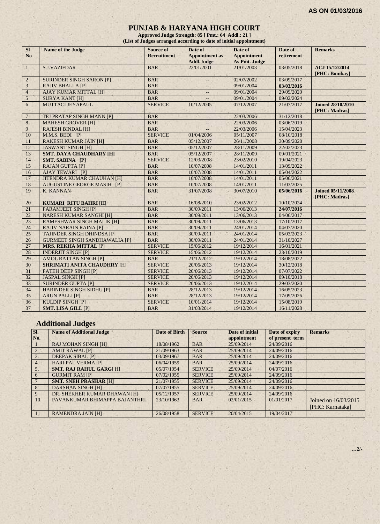#### **PUNJAB & HARYANA HIGH COURT**

**Approved Judge Strength: 85 [ Pmt.: 64 Addl.: 21 ] (List of Judges arranged according to date of initial appointment)**

| <b>SI</b><br>N <sub>o</sub> | <b>Name of the Judge</b>             | Source of<br><b>Recruitment</b> | Date of<br><b>Appointment</b> as<br><b>Addl.Judge</b> | Date of<br><b>Appointment</b><br>As Pmt. Judge | Date of<br>retirement | <b>Remarks</b>                            |
|-----------------------------|--------------------------------------|---------------------------------|-------------------------------------------------------|------------------------------------------------|-----------------------|-------------------------------------------|
| $\mathbf{1}$                | <b>S.J.VAZIFDAR</b>                  | <b>BAR</b>                      | 22/01/2001                                            | 21/01/2003                                     | 03/05/2018            | ACJ 15/12/2014<br>[PHC: Bombay]           |
| $\overline{2}$              | <b>SURINDER SINGH SARON [P]</b>      | <b>BAR</b>                      | $-$                                                   | 02/07/2002                                     | 03/09/2017            |                                           |
| 3                           | <b>RAJIV BHALLA [P]</b>              | <b>BAR</b>                      |                                                       | 09/01/2004                                     | 03/03/2016            |                                           |
| $\overline{4}$              | AJAY KUMAR MITTAL [H]                | <b>BAR</b>                      | $-$                                                   | 09/01/2004                                     | 29/09/2020            |                                           |
| $\sqrt{5}$                  | <b>SURYA KANT [H]</b>                | <b>BAR</b>                      |                                                       | 09/01/2004                                     | 09/02/2024            |                                           |
| 6                           | MUTTACI JEYAPAUL                     | <b>SERVICE</b>                  | 10/12/2005                                            | 07/12/2007                                     | 21/07/2017            | <b>Joined 28/10/2010</b><br>[PHC: Madras] |
| $\overline{7}$              | TEJ PRATAP SINGH MANN [P]            | <b>BAR</b>                      | $\qquad \qquad -$                                     | 22/03/2006                                     | 31/12/2018            |                                           |
| 8                           | <b>MAHESH GROVER [H]</b>             | <b>BAR</b>                      |                                                       | 22/03/2006                                     | 03/06/2019            |                                           |
| 9                           | <b>RAJESH BINDAL [H]</b>             | <b>BAR</b>                      |                                                       | 22/03/2006                                     | 15/04/2023            |                                           |
| 10                          | M.M.S. BEDI [P]                      | <b>SERVICE</b>                  | 01/04/2006                                            | 05/11/2007                                     | 08/10/2018            |                                           |
| 11                          | <b>RAKESH KUMAR JAIN [H]</b>         | <b>BAR</b>                      | 05/12/2007                                            | 26/11/2008                                     | 30/09/2020            |                                           |
| 12                          | <b>JASWANT SINGH [H]</b>             | <b>BAR</b>                      | 05/12/2007                                            | 28/11/2009                                     | 22/02/2023            |                                           |
| 13                          | <b>SMT. DAYA CHAUDHARY [H]</b>       | <b>BAR</b>                      | 05/12/2007                                            | 28/11/2009                                     | 09/01/2021            |                                           |
| 14                          | SMT. SABINA [P]                      | <b>SERVICE</b>                  | 12/03/2008                                            | 23/02/2010                                     | 19/04/2023            |                                           |
| 15                          | <b>RAJAN GUPTA [P]</b>               | <b>BAR</b>                      | 10/07/2008                                            | 14/01/2011                                     | 13/09/2022            |                                           |
| 16                          | <b>AJAY TEWARI [P]</b>               | <b>BAR</b>                      | 10/07/2008                                            | 14/01/2011                                     | 05/04/2022            |                                           |
| 17                          | <b>JITENDRA KUMAR CHAUHAN [H]</b>    | <b>BAR</b>                      | 10/07/2008                                            | 14/01/2011                                     | 05/06/2021            |                                           |
| 18                          | <b>AUGUSTINE GEORGE MASIH [P]</b>    | <b>BAR</b>                      | 10/07/2008                                            | 14/01/2011                                     | 11/03/2025            |                                           |
| 19                          | K. KANNAN                            | <b>BAR</b>                      | 31/07/2008                                            | 30/07/2010                                     | 05/06/2016            | <b>Joined 05/11/2008</b><br>[PHC: Madras] |
| 20                          | <b>KUMARI RITU BAHRI [H]</b>         | <b>BAR</b>                      | 16/08/2010                                            | 23/02/2012                                     | 10/10/2024            |                                           |
| 21                          | <b>PARAMJEET SINGH [P]</b>           | <b>BAR</b>                      | 30/09/2011                                            | 13/06/2013                                     | 24/07/2016            |                                           |
| 22                          | <b>NARESH KUMAR SANGHI [H]</b>       | <b>BAR</b>                      | 30/09/2011                                            | 13/06/2013                                     | 04/06/2017            |                                           |
| 23                          | <b>RAMESHWAR SINGH MALIK [H]</b>     | <b>BAR</b>                      | 30/09/2011                                            | 13/06/2013                                     | 17/10/2017            |                                           |
| 24                          | <b>RAJIV NARAIN RAINA [P]</b>        | <b>BAR</b>                      | 30/09/2011                                            | 24/01/2014                                     | 04/07/2020            |                                           |
| $25\,$                      | <b>TAJINDER SINGH DHINDSA [P]</b>    | <b>BAR</b>                      | 30/09/2011                                            | 24/01/2014                                     | 05/03/2023            |                                           |
| 26                          | <b>GURMEET SINGH SANDHAWALIA [P]</b> | <b>BAR</b>                      | 30/09/2011                                            | 24/01/2014                                     | 31/10/2027            |                                           |
| 27                          | <b>MRS. REKHA MITTAL [P]</b>         | <b>SERVICE</b>                  | 15/06/2012                                            | 19/12/2014                                     | 16/01/2021            |                                           |
| 28                          | <b>INDERJIT SINGH [P]</b>            | <b>SERVICE</b>                  | 15/06/2012                                            | 19/12/2014                                     | 23/10/2019            | $\mathbf{a}$                              |
| 29                          | <b>AMOL RATTAN SINGH [P]</b>         | <b>BAR</b>                      | 21/12/2012                                            | 19/12/2014                                     | 18/08/2022            |                                           |
| 30                          | <b>SHRIMATI ANITA CHAUDHRY [H]</b>   | <b>SERVICE</b>                  | 20/06/2013                                            | 19/12/2014                                     | 30/12/2018            |                                           |
| 31                          | <b>FATEH DEEP SINGH [P]</b>          | <b>SERVICE</b>                  | 20/06/2013                                            | 19/12/2014                                     | 07/07/2022            |                                           |
| 32                          | <b>JASPAL SINGH [P]</b>              | <b>SERVICE</b>                  | 20/06/2013                                            | 19/12/2014                                     | 09/10/2018            |                                           |
| 33                          | <b>SURINDER GUPTA [P]</b>            | <b>SERVICE</b>                  | 20/06/2013                                            | 19/12/2014                                     | 29/03/2020            |                                           |
| 34                          | <b>HARINDER SINGH SIDHU [P]</b>      | <b>BAR</b>                      | 28/12/2013                                            | 19/12/2014                                     | 16/05/2023            |                                           |
| 35                          | <b>ARUN PALLI [P]</b>                | <b>BAR</b>                      | 28/12/2013                                            | 19/12/2014                                     | 17/09/2026            |                                           |
| 36                          | <b>KULDIP SINGH [P]</b>              | <b>SERVICE</b>                  | 10/01/2014                                            | 19/12/2014                                     | 15/08/2019            |                                           |
| 37                          | <b>SMT. LISA GILL [P]</b>            | <b>BAR</b>                      | 31/03/2014                                            | 19/12/2014                                     | 16/11/2028            |                                           |

# **Additional Judges**

| SI.         | <b>Name of Additional Judge</b> | <b>Date of Birth</b> | <b>Source</b>  | Date of initial | Date of expiry  | <b>Remarks</b>       |
|-------------|---------------------------------|----------------------|----------------|-----------------|-----------------|----------------------|
| No.         |                                 |                      |                | appointment     | of present term |                      |
|             | <b>RAJ MOHAN SINGH [H]</b>      | 18/08/1962           | <b>BAR</b>     | 25/09/2014      | 24/09/2016      |                      |
| $2^{\circ}$ | <b>AMIT RAWAL [P]</b>           | 21/09/1963           | <b>BAR</b>     | 25/09/2014      | 24/09/2016      |                      |
| 3.          | <b>DEEPAK SIBAL [P]</b>         | 03/09/1967           | <b>BAR</b>     | 25/09/2014      | 24/09/2016      |                      |
| 4.          | <b>HARI PAL VERMA [P]</b>       | 06/04/1959           | <b>BAR</b>     | 25/09/2014      | 24/09/2016      |                      |
| 5.          | <b>SMT. RAJ RAHUL GARGI HI</b>  | 05/07/1954           | <b>SERVICE</b> | 25/09/2014      | 04/07/2016      |                      |
| $\sqrt{2}$  | <b>GURMIT RAM [P]</b>           | 07/02/1955           | <b>SERVICE</b> | 25/09/2014      | 24/09/2016      |                      |
|             | <b>SMT. SNEH PRASHAR [H]</b>    | 21/07/1955           | <b>SERVICE</b> | 25/09/2014      | 24/09/2016      |                      |
| 8           | <b>DARSHAN SINGH [H]</b>        | 07/07/1955           | <b>SERVICE</b> | 25/09/2014      | 24/09/2016      |                      |
| 9           | DR. SHEKHER KUMAR DHAWAN [H]    | 05/12/1957           | <b>SERVICE</b> | 25/09/2014      | 24/09/2016      |                      |
| 10          | PAVANKUMAR BHIMAPPA BAJANTHRI   | 23/10/1963           | <b>BAR</b>     | 02/01/2015      | 01/01/2017      | Joined on 16/03/2015 |
|             |                                 |                      |                |                 |                 | [PHC: Karnataka]     |
| -11         | <b>RAMENDRA JAIN [H]</b>        | 26/08/1958           | <b>SERVICE</b> | 20/04/2015      | 19/04/2017      |                      |

**…2/-**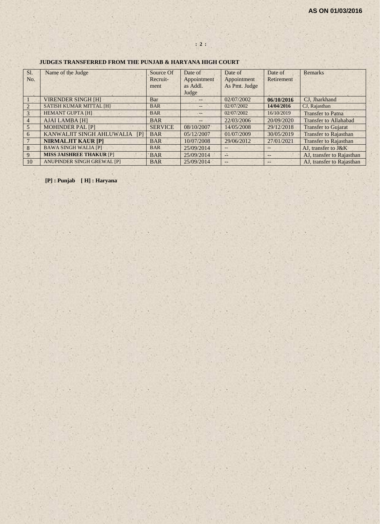# **: 2 :**

#### **JUDGES TRANSFERRED FROM THE PUNJAB & HARYANA HIGH COURT**

| Sl.            | Name of the Judge               | Source Of      | Date of           | Date of           | Date of    | <b>Remarks</b>               |
|----------------|---------------------------------|----------------|-------------------|-------------------|------------|------------------------------|
| No.            |                                 | Recruit-       | Appointment       | Appointment       | Retirement |                              |
|                |                                 | ment           | as Addl.          | As Pmt. Judge     |            |                              |
|                |                                 |                | Judge             |                   |            |                              |
|                | <b>VIRENDER SINGH [H]</b>       | Bar            | $- -$             | 02/07/2002        | 06/10/2016 | CJ, Jharkhand                |
| $\overline{2}$ | <b>SATISH KUMAR MITTAL [H]</b>  | <b>BAR</b>     | $\qquad \qquad -$ | 02/07/2002        | 14/04/2016 | CJ, Rajasthan                |
| 3              | <b>HEMANT GUPTA [H]</b>         | <b>BAR</b>     | $- -$             | 02/07/2002        | 16/10/2019 | <b>Transfer to Patna</b>     |
| $\overline{4}$ | <b>AJAI LAMBA [H]</b>           | <b>BAR</b>     | $- -$             | 22/03/2006        | 20/09/2020 | <b>Transfer to Allahabad</b> |
| 5              | <b>MOHINDER PAL [P]</b>         | <b>SERVICE</b> | 08/10/2007        | 14/05/2008        | 29/12/2018 | <b>Transfer to Gujarat</b>   |
| 6              | KANWALJIT SINGH AHLUWALIA<br>[  | <b>BAR</b>     | 05/12/2007        | 01/07/2009        | 30/05/2019 | <b>Transfer to Rajasthan</b> |
|                | <b>NIRMALJIT KAUR [P]</b>       | <b>BAR</b>     | 10/07/2008        | 29/06/2012        | 27/01/2021 | <b>Transfer to Rajasthan</b> |
| 8              | <b>BAWA SINGH WALIA [P]</b>     | <b>BAR</b>     | 25/09/2014        | $\qquad \qquad -$ |            | AJ, transfer to J&K          |
| 9              | <b>MISS JAISHREE THAKUR [P]</b> | <b>BAR</b>     | 25/09/2014        | P.                | $- -$      | AJ, transfer to Rajasthan    |
| 10             | ANUPINDER SINGH GREWAL [P]      | <b>BAR</b>     | 25/09/2014        | $--$              | $- -$      | AJ, transfer to Rajasthan    |

**[P] : Punjab [ H] : Haryana**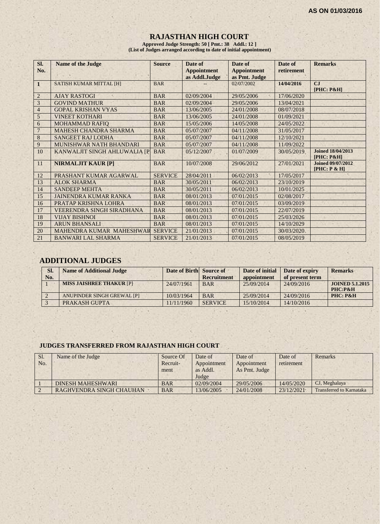# **RAJASTHAN HIGH COURT**

**Approved Judge Strength: 50 [ Pmt.: 38 Addl.: 12 ] (List of Judges arranged according to date of initial appointment)**

| SI.            | <b>Name of the Judge</b>         | <b>Source</b>  | Date of                             | Date of                             | Date of    | <b>Remarks</b>                            |
|----------------|----------------------------------|----------------|-------------------------------------|-------------------------------------|------------|-------------------------------------------|
| No.            |                                  |                | <b>Appointment</b><br>as Addl.Judge | <b>Appointment</b><br>as Pmt. Judge | retirement |                                           |
| $\mathbf{1}$   | <b>SATISH KUMAR MITTAL [H]</b>   | <b>BAR</b>     |                                     | 02/07/2002                          | 14/04/2016 | CJ<br>$[PHC: P\&H]$                       |
| $\overline{2}$ | <b>AJAY RASTOGI</b>              | <b>BAR</b>     | 02/09/2004                          | 29/05/2006                          | 17/06/2020 |                                           |
| 3              | <b>GOVIND MATHUR</b>             | <b>BAR</b>     | 02/09/2004                          | 29/05/2006                          | 13/04/2021 |                                           |
| $\overline{4}$ | <b>GOPAL KRISHAN VYAS</b>        | <b>BAR</b>     | 13/06/2005                          | 24/01/2008                          | 08/07/2018 |                                           |
| 5 <sup>′</sup> | <b>VINEET KOTHARI</b>            | <b>BAR</b>     | 13/06/2005                          | 24/01/2008                          | 01/09/2021 |                                           |
| 6              | <b>MOHAMMAD RAFIO</b>            | <b>BAR</b>     | 15/05/2006                          | 14/05/2008                          | 24/05/2022 |                                           |
| $\overline{7}$ | <b>MAHESH CHANDRA SHARMA</b>     | <b>BAR</b>     | 05/07/2007                          | 04/11/2008                          | 31/05/2017 |                                           |
| 8              | <b>SANGEET RAJ LODHA</b>         | <b>BAR</b>     | 05/07/2007                          | 04/11/2008                          | 12/10/2021 |                                           |
| 9              | <b>MUNISHWAR NATH BHANDARI</b>   | <b>BAR</b>     | 05/07/2007                          | 04/11/2008                          | 11/09/2022 |                                           |
| 10             | KANWALJIT SINGH AHLUWALIA [P     | <b>BAR</b>     | 05/12/2007                          | 01/07/2009                          | 30/05/2019 | <b>Joined 18/04/2013</b><br>$[PHC: P\&H]$ |
| 11             | <b>NIRMALJIT KAUR [P]</b>        | <b>BAR</b>     | 10/07/2008                          | 29/06/2012                          | 27/01/2021 | <b>Joined 09/07/2012</b><br>[PHC: P & H]  |
| 12             | PRASHANT KUMAR AGARWAL           | <b>SERVICE</b> | 28/04/2011                          | 06/02/2013                          | 17/05/2017 |                                           |
| 13             | <b>ALOK SHARMA</b>               | <b>BAR</b>     | 30/05/2011                          | 06/02/2013                          | 23/10/2019 |                                           |
| 14             | <b>SANDEEP MEHTA</b>             | <b>BAR</b>     | 30/05/2011                          | 06/02/2013                          | 10/01/2025 |                                           |
| 15             | <b>JAINENDRA KUMAR RANKA</b>     | <b>BAR</b>     | 08/01/2013                          | 07/01/2015                          | 02/08/2017 |                                           |
| 16             | PRATAP KRISHNA LOHRA             | <b>BAR</b>     | 08/01/2013                          | 07/01/2015                          | 03/09/2019 |                                           |
| 17             | <b>VEERENDRA SINGH SIRADHANA</b> | <b>BAR</b>     | 08/01/2013                          | 07/01/2015                          | 22/07/2019 |                                           |
| 18             | <b>VIJAY BISHNOI</b>             | <b>BAR</b>     | 08/01/2013                          | 07/01/2015                          | 25/03/2026 |                                           |
| 19             | <b>ARUN BHANSALI</b>             | <b>BAR</b>     | 08/01/2013                          | 07/01/2015                          | 14/10/2029 |                                           |
| 20             | MAHENDRA KUMAR MAHESHWAR         | <b>SERVICE</b> | 21/01/2013                          | 07/01/2015                          | 30/03/2020 |                                           |
| 21             | <b>BANWARI LAL SHARMA</b>        | <b>SERVICE</b> | 21/01/2013                          | 07/01/2015                          | 08/05/2019 |                                           |

# **ADDITIONAL JUDGES**

| SI.<br>No. | <b>Name of Additional Judge</b> | Date of Birth Source of | <b>Recruitment</b> | Date of initial<br>appointment | Date of expiry<br>of present term | <b>Remarks</b>                    |
|------------|---------------------------------|-------------------------|--------------------|--------------------------------|-----------------------------------|-----------------------------------|
|            | <b>MISS JAISHREE THAKUR [P]</b> | 24/07/1961              | <b>BAR</b>         | 25/09/2014                     | 24/09/2016                        | <b>JOINED 5.1.2015</b><br>PHC:P&H |
|            | ANUPINDER SINGH GREWAL [P]      | 10/03/1964              | <b>BAR</b>         | 25/09/2014                     | 24/09/2016                        | PHC: P&H                          |
|            | PRAKASH GUPTA                   | 11/11/1960              | <b>SERVICE</b>     | 15/10/2014                     | 14/10/2016                        |                                   |

#### **JUDGES TRANSFERRED FROM RAJASTHAN HIGH COURT**

| Sl.<br>N <sub>O</sub> | Name of the Judge        | Source Of<br>Recruit-<br>ment | Date of<br>Appointment<br>as Addl.<br>Judge | Date of<br>Appointment<br>As Pmt. Judge | Date of<br>retirement | Remarks                  |
|-----------------------|--------------------------|-------------------------------|---------------------------------------------|-----------------------------------------|-----------------------|--------------------------|
|                       | DINESH MAHESHWARI        | <b>BAR</b>                    | 02/09/2004                                  | 29/05/2006                              | 14/05/2020            | CJ, Meghalaya            |
|                       | RAGHVENDRA SINGH CHAUHAN | <b>BAR</b>                    | 13/06/2005                                  | 24/01/2008                              | 23/12/2021            | Transferred to Karnataka |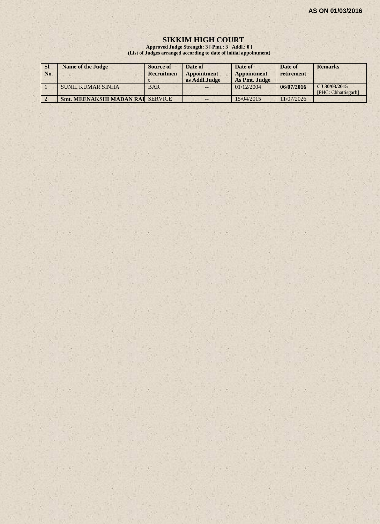#### **SIKKIM HIGH COURT**

**Approved Judge Strength: 3 [ Pmt.: 3 Addl.: 0 ] (List of Judges arranged according to date of initial appointment)**

| SI.<br>No. | <b>Name of the Judge</b>                | Source of<br>Recruitmen | Date of<br>Appointment<br>as Addl.Judge | Date of<br><b>Appointment</b><br>As Pmt. Judge | Date of<br>retirement | <b>Remarks</b>                       |
|------------|-----------------------------------------|-------------------------|-----------------------------------------|------------------------------------------------|-----------------------|--------------------------------------|
|            | SUNIL KUMAR SINHA                       | <b>BAR</b>              | $- -$                                   | 01/12/2004                                     | 06/07/2016            | CJ 30/03/2015<br>[PHC: Chhattisgarh] |
|            | <b>Smt. MEENAKSHI MADAN RAI SERVICE</b> |                         | --                                      | 15/04/2015                                     | 11/07/2026            |                                      |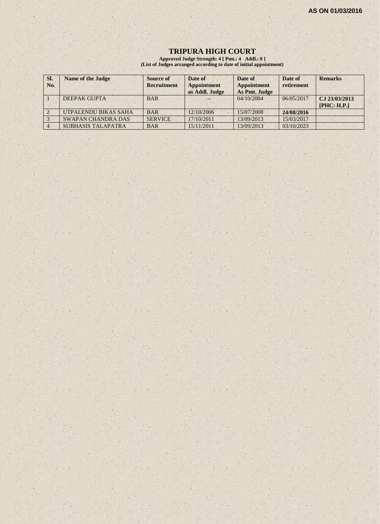#### **TRIPURA HIGH COURT**

**Approved Judge Strength: 4 [ Pmt.: 4 Addl.: 0 ] (List of Judges arranged according to date of initial appointment)**

| SI.<br>No. | <b>Name of the Judge</b>  | <b>Source of</b><br><b>Recruitment</b> | Date of<br><b>Appointment</b><br>as Addl. Judge | Date of<br>Appointment<br>As Pmt. Judge | Date of<br>retirement | <b>Remarks</b>               |
|------------|---------------------------|----------------------------------------|-------------------------------------------------|-----------------------------------------|-----------------------|------------------------------|
|            | DEEPAK GUPTA              | <b>BAR</b>                             |                                                 | 04/10/2004                              | 06/05/2017            | CJ 23/03/2013<br>[PHC: H.P.] |
|            | UTPALENDU BIKAS SAHA      | <b>BAR</b>                             | 12/10/2006                                      | 15/07/2008                              | 24/08/2016            |                              |
|            | <b>SWAPAN CHANDRA DAS</b> | <b>SERVICE</b>                         | 17/10/2011                                      | 13/09/2013                              | 15/03/2017            |                              |
|            | <b>SUBHASIS TALAPATRA</b> | <b>BAR</b>                             | 15/11/2011                                      | 13/09/2013                              | 03/10/2023            |                              |